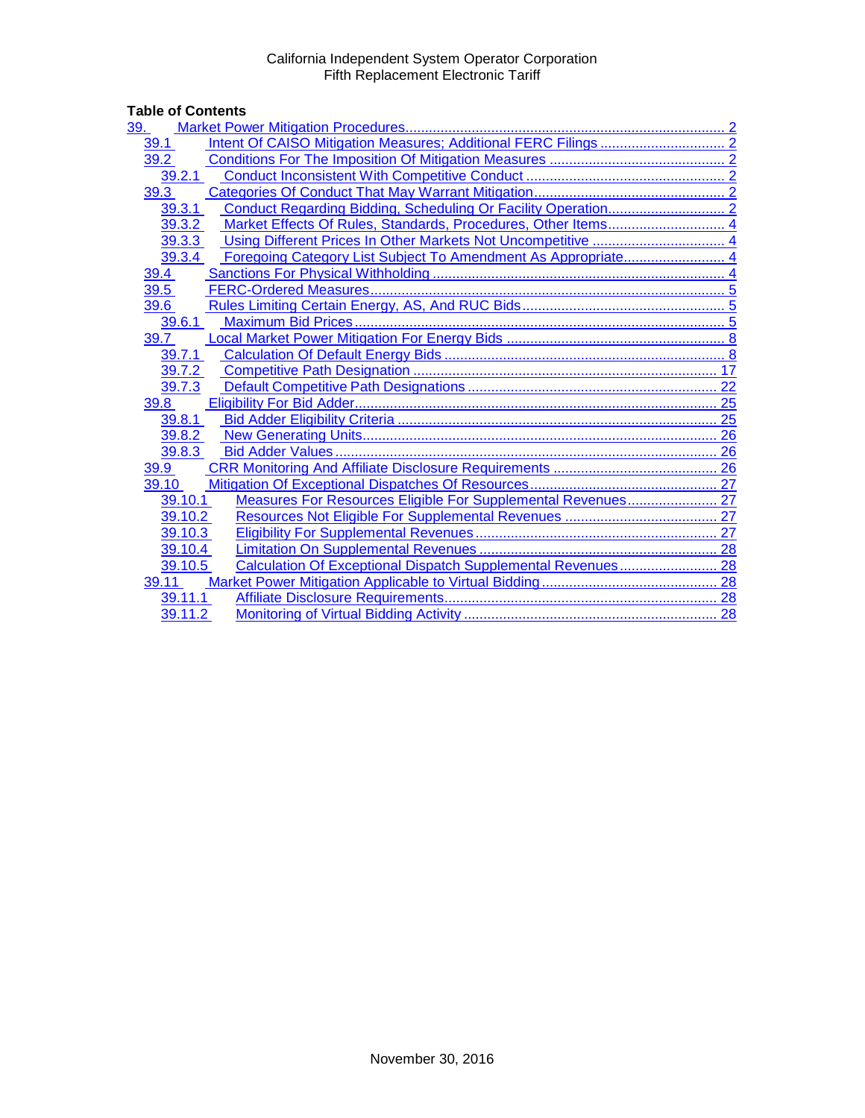# Table of Contents<br>
<u>39. Market Pow</u>

| 39.                                                                     |  |
|-------------------------------------------------------------------------|--|
| 39.1                                                                    |  |
| 39.2                                                                    |  |
| 39.2.1                                                                  |  |
| 39.3                                                                    |  |
| 39.3.1                                                                  |  |
| 39.3.2                                                                  |  |
| 39.3.3                                                                  |  |
| 39.3.4                                                                  |  |
| 39.4                                                                    |  |
| 39.5                                                                    |  |
| 39.6                                                                    |  |
| 39.6.1                                                                  |  |
| 39.7                                                                    |  |
| 39.7.1                                                                  |  |
| 39.7.2                                                                  |  |
| 39.7.3                                                                  |  |
| 39.8                                                                    |  |
| 39.8.1                                                                  |  |
| 39.8.2                                                                  |  |
| 39.8.3                                                                  |  |
| 39.9                                                                    |  |
| 39.10                                                                   |  |
| Measures For Resources Eligible For Supplemental Revenues 27<br>39.10.1 |  |
| 39.10.2                                                                 |  |
| 39.10.3                                                                 |  |
| 39.10.4                                                                 |  |
| Calculation Of Exceptional Dispatch Supplemental Revenues 28<br>39.10.5 |  |
| 39.11                                                                   |  |
| 39.11.1                                                                 |  |
| 39.11.2                                                                 |  |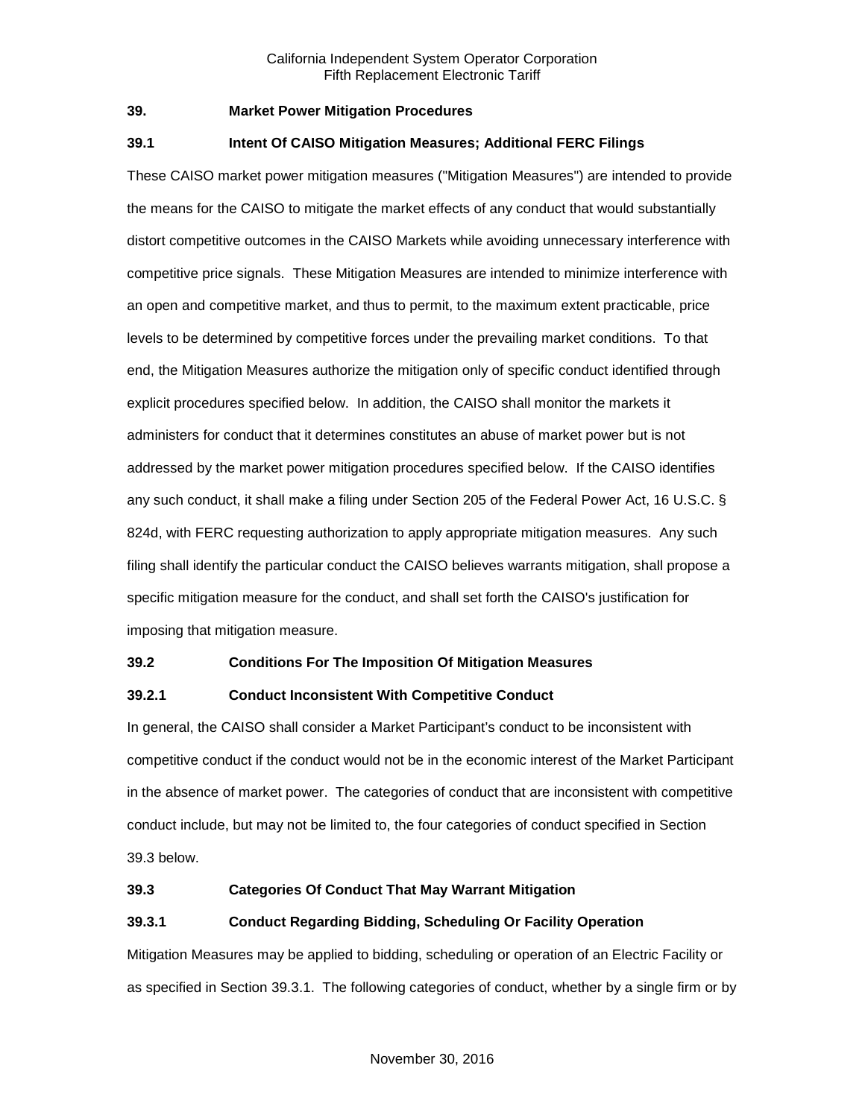#### <span id="page-1-0"></span>**39. Market Power Mitigation Procedures**

## <span id="page-1-1"></span>**39.1 Intent Of CAISO Mitigation Measures; Additional FERC Filings**

These CAISO market power mitigation measures ("Mitigation Measures") are intended to provide the means for the CAISO to mitigate the market effects of any conduct that would substantially distort competitive outcomes in the CAISO Markets while avoiding unnecessary interference with competitive price signals. These Mitigation Measures are intended to minimize interference with an open and competitive market, and thus to permit, to the maximum extent practicable, price levels to be determined by competitive forces under the prevailing market conditions. To that end, the Mitigation Measures authorize the mitigation only of specific conduct identified through explicit procedures specified below. In addition, the CAISO shall monitor the markets it administers for conduct that it determines constitutes an abuse of market power but is not addressed by the market power mitigation procedures specified below. If the CAISO identifies any such conduct, it shall make a filing under Section 205 of the Federal Power Act, 16 U.S.C. § 824d, with FERC requesting authorization to apply appropriate mitigation measures. Any such filing shall identify the particular conduct the CAISO believes warrants mitigation, shall propose a specific mitigation measure for the conduct, and shall set forth the CAISO's justification for imposing that mitigation measure.

#### <span id="page-1-2"></span>**39.2 Conditions For The Imposition Of Mitigation Measures**

## <span id="page-1-3"></span>**39.2.1 Conduct Inconsistent With Competitive Conduct**

In general, the CAISO shall consider a Market Participant's conduct to be inconsistent with competitive conduct if the conduct would not be in the economic interest of the Market Participant in the absence of market power. The categories of conduct that are inconsistent with competitive conduct include, but may not be limited to, the four categories of conduct specified in Section 39.3 below.

## <span id="page-1-4"></span>**39.3 Categories Of Conduct That May Warrant Mitigation**

## <span id="page-1-5"></span>**39.3.1 Conduct Regarding Bidding, Scheduling Or Facility Operation**

Mitigation Measures may be applied to bidding, scheduling or operation of an Electric Facility or as specified in Section 39.3.1. The following categories of conduct, whether by a single firm or by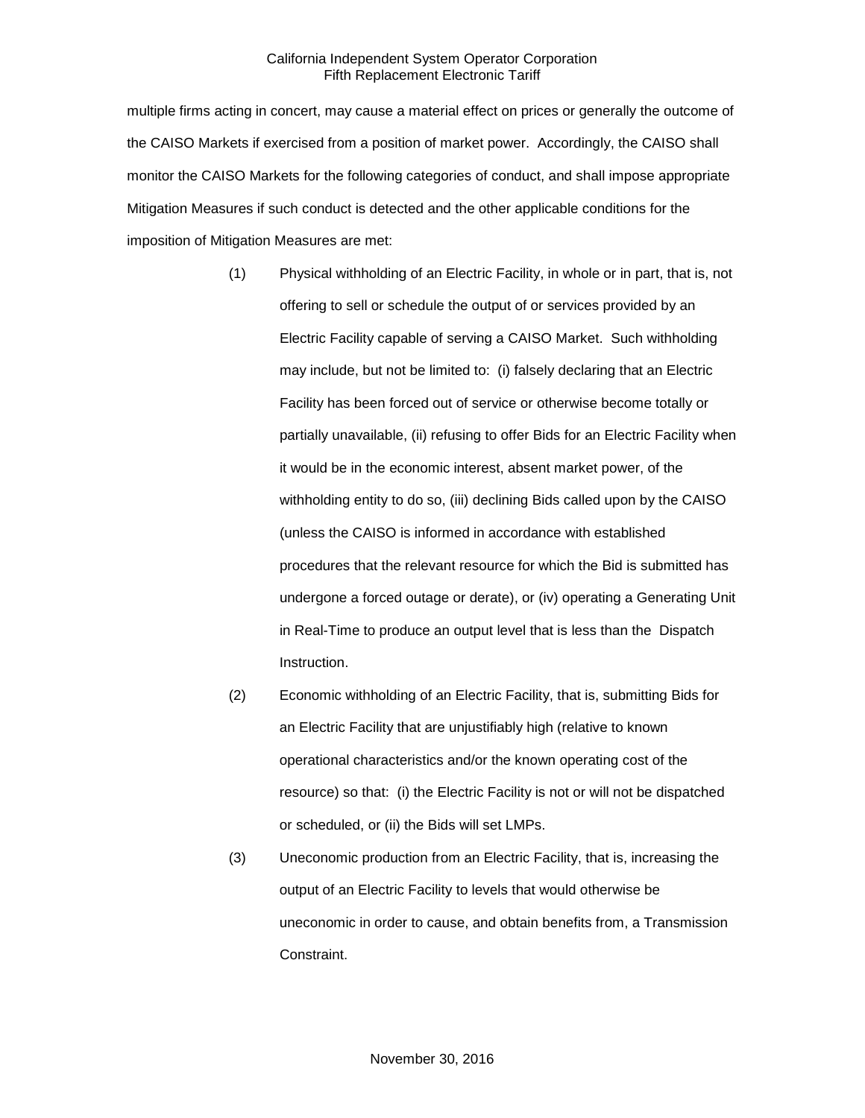multiple firms acting in concert, may cause a material effect on prices or generally the outcome of the CAISO Markets if exercised from a position of market power. Accordingly, the CAISO shall monitor the CAISO Markets for the following categories of conduct, and shall impose appropriate Mitigation Measures if such conduct is detected and the other applicable conditions for the imposition of Mitigation Measures are met:

- (1) Physical withholding of an Electric Facility, in whole or in part, that is, not offering to sell or schedule the output of or services provided by an Electric Facility capable of serving a CAISO Market. Such withholding may include, but not be limited to: (i) falsely declaring that an Electric Facility has been forced out of service or otherwise become totally or partially unavailable, (ii) refusing to offer Bids for an Electric Facility when it would be in the economic interest, absent market power, of the withholding entity to do so, (iii) declining Bids called upon by the CAISO (unless the CAISO is informed in accordance with established procedures that the relevant resource for which the Bid is submitted has undergone a forced outage or derate), or (iv) operating a Generating Unit in Real-Time to produce an output level that is less than the Dispatch Instruction.
- (2) Economic withholding of an Electric Facility, that is, submitting Bids for an Electric Facility that are unjustifiably high (relative to known operational characteristics and/or the known operating cost of the resource) so that: (i) the Electric Facility is not or will not be dispatched or scheduled, or (ii) the Bids will set LMPs.
- (3) Uneconomic production from an Electric Facility, that is, increasing the output of an Electric Facility to levels that would otherwise be uneconomic in order to cause, and obtain benefits from, a Transmission Constraint.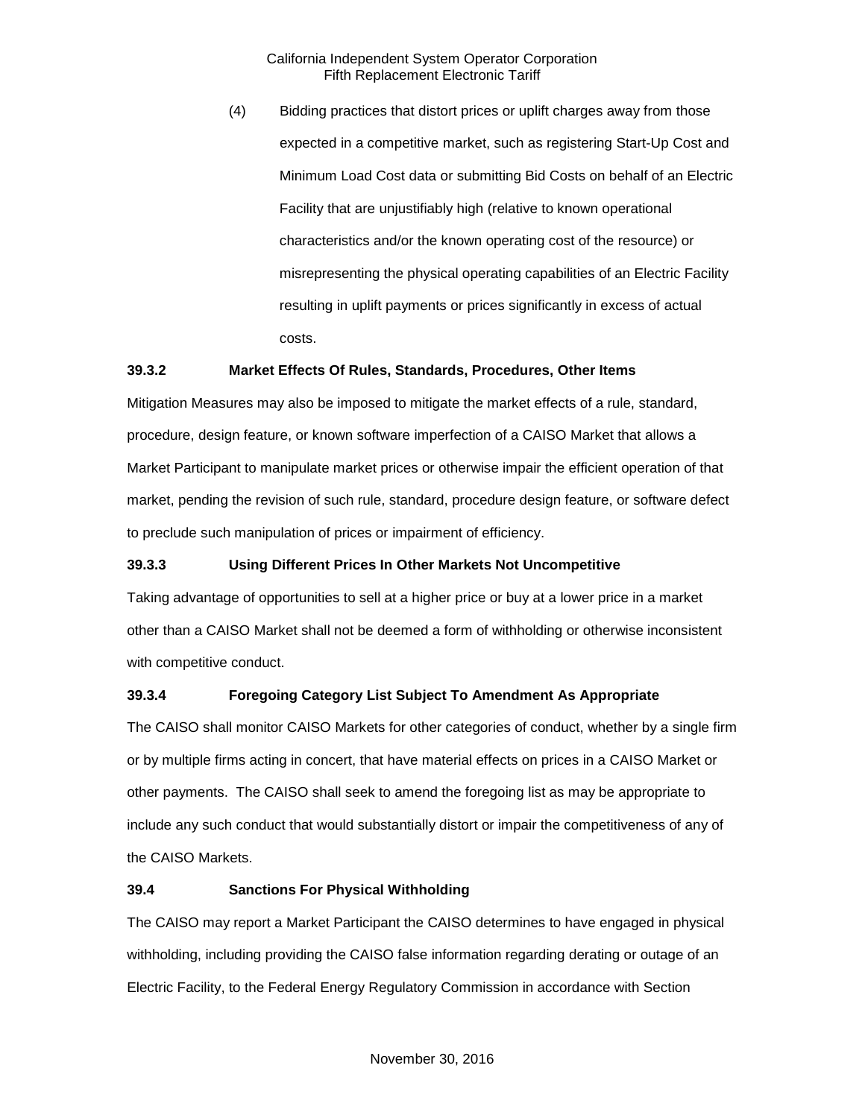(4) Bidding practices that distort prices or uplift charges away from those expected in a competitive market, such as registering Start-Up Cost and Minimum Load Cost data or submitting Bid Costs on behalf of an Electric Facility that are unjustifiably high (relative to known operational characteristics and/or the known operating cost of the resource) or misrepresenting the physical operating capabilities of an Electric Facility resulting in uplift payments or prices significantly in excess of actual costs.

#### <span id="page-3-0"></span>**39.3.2 Market Effects Of Rules, Standards, Procedures, Other Items**

Mitigation Measures may also be imposed to mitigate the market effects of a rule, standard, procedure, design feature, or known software imperfection of a CAISO Market that allows a Market Participant to manipulate market prices or otherwise impair the efficient operation of that market, pending the revision of such rule, standard, procedure design feature, or software defect to preclude such manipulation of prices or impairment of efficiency.

## <span id="page-3-1"></span>**39.3.3 Using Different Prices In Other Markets Not Uncompetitive**

Taking advantage of opportunities to sell at a higher price or buy at a lower price in a market other than a CAISO Market shall not be deemed a form of withholding or otherwise inconsistent with competitive conduct.

## <span id="page-3-2"></span>**39.3.4 Foregoing Category List Subject To Amendment As Appropriate**

The CAISO shall monitor CAISO Markets for other categories of conduct, whether by a single firm or by multiple firms acting in concert, that have material effects on prices in a CAISO Market or other payments. The CAISO shall seek to amend the foregoing list as may be appropriate to include any such conduct that would substantially distort or impair the competitiveness of any of the CAISO Markets.

#### <span id="page-3-3"></span>**39.4 Sanctions For Physical Withholding**

The CAISO may report a Market Participant the CAISO determines to have engaged in physical withholding, including providing the CAISO false information regarding derating or outage of an Electric Facility, to the Federal Energy Regulatory Commission in accordance with Section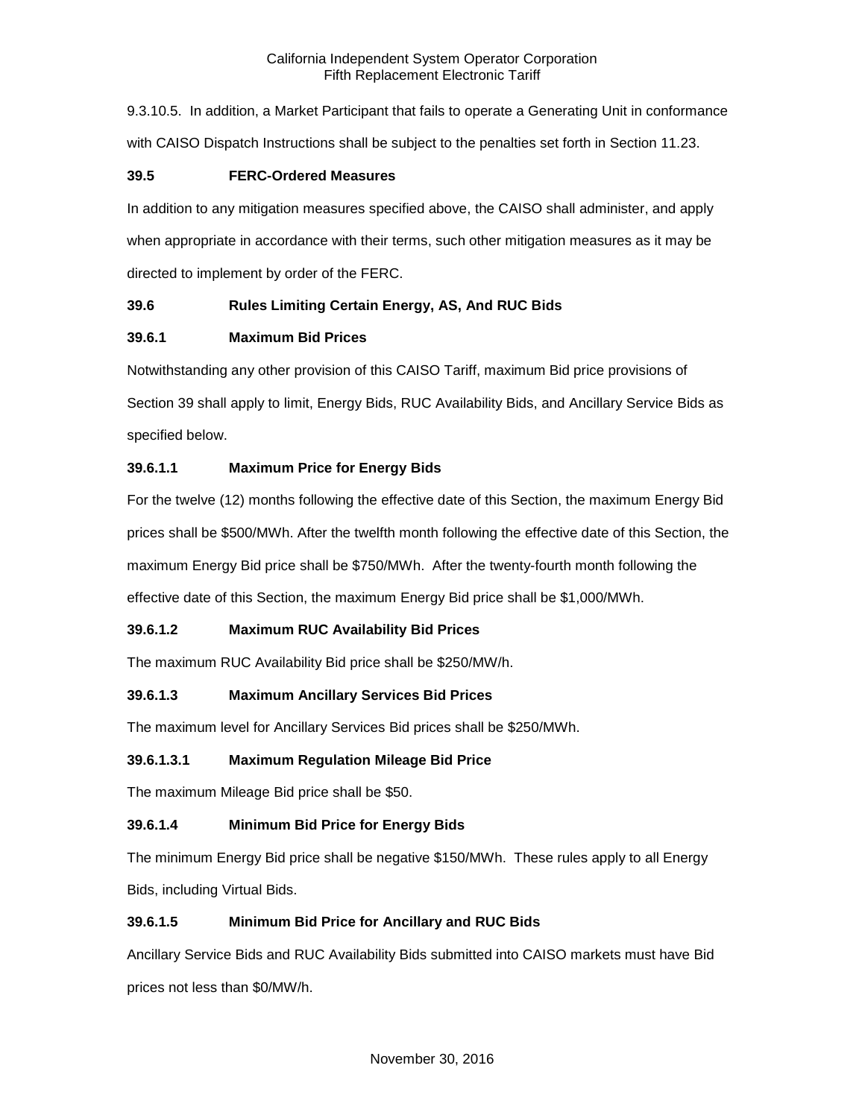9.3.10.5. In addition, a Market Participant that fails to operate a Generating Unit in conformance with CAISO Dispatch Instructions shall be subject to the penalties set forth in Section 11.23.

## <span id="page-4-0"></span>**39.5 FERC-Ordered Measures**

In addition to any mitigation measures specified above, the CAISO shall administer, and apply when appropriate in accordance with their terms, such other mitigation measures as it may be directed to implement by order of the FERC.

## <span id="page-4-1"></span>**39.6 Rules Limiting Certain Energy, AS, And RUC Bids**

## <span id="page-4-2"></span>**39.6.1 Maximum Bid Prices**

Notwithstanding any other provision of this CAISO Tariff, maximum Bid price provisions of Section 39 shall apply to limit, Energy Bids, RUC Availability Bids, and Ancillary Service Bids as specified below.

## **39.6.1.1 Maximum Price for Energy Bids**

For the twelve (12) months following the effective date of this Section, the maximum Energy Bid prices shall be \$500/MWh. After the twelfth month following the effective date of this Section, the maximum Energy Bid price shall be \$750/MWh. After the twenty-fourth month following the effective date of this Section, the maximum Energy Bid price shall be \$1,000/MWh.

## **39.6.1.2 Maximum RUC Availability Bid Prices**

The maximum RUC Availability Bid price shall be \$250/MW/h.

## **39.6.1.3 Maximum Ancillary Services Bid Prices**

The maximum level for Ancillary Services Bid prices shall be \$250/MWh.

#### **39.6.1.3.1 Maximum Regulation Mileage Bid Price**

The maximum Mileage Bid price shall be \$50.

## **39.6.1.4 Minimum Bid Price for Energy Bids**

The minimum Energy Bid price shall be negative \$150/MWh. These rules apply to all Energy Bids, including Virtual Bids.

## **39.6.1.5 Minimum Bid Price for Ancillary and RUC Bids**

Ancillary Service Bids and RUC Availability Bids submitted into CAISO markets must have Bid prices not less than \$0/MW/h.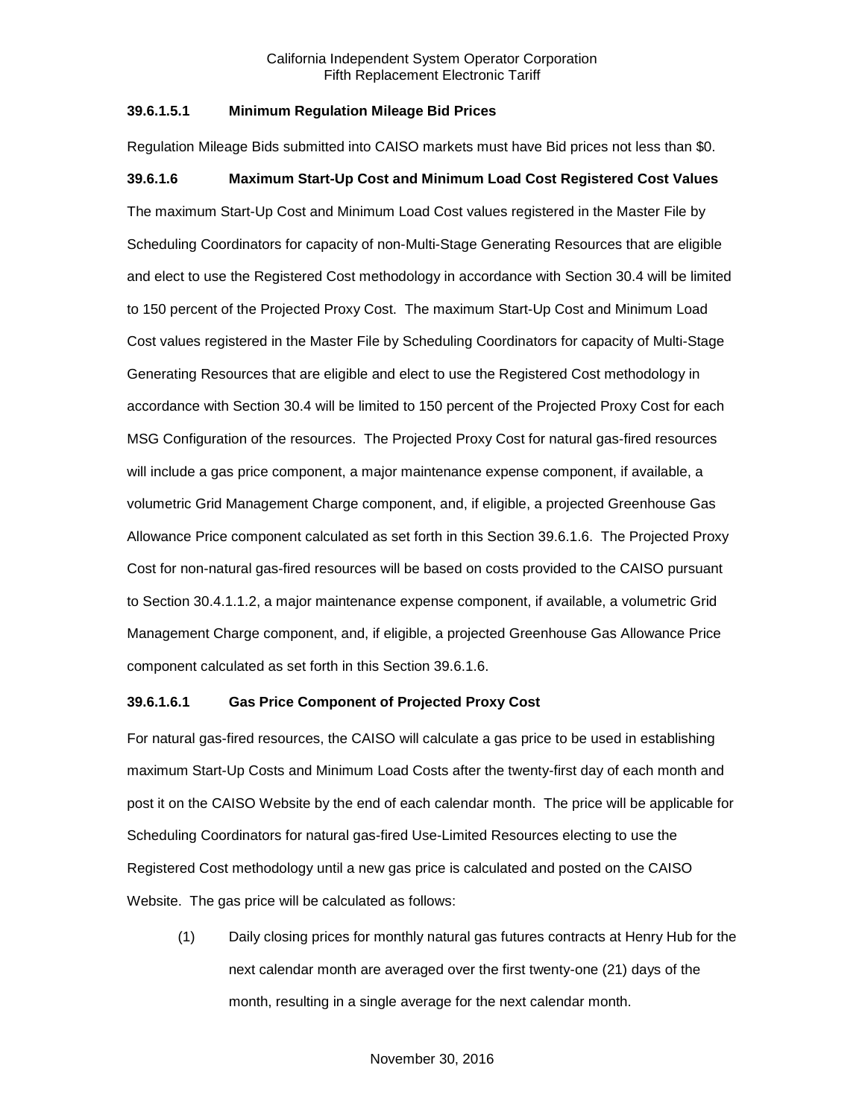#### **39.6.1.5.1 Minimum Regulation Mileage Bid Prices**

Regulation Mileage Bids submitted into CAISO markets must have Bid prices not less than \$0.

#### **39.6.1.6 Maximum Start-Up Cost and Minimum Load Cost Registered Cost Values**

The maximum Start-Up Cost and Minimum Load Cost values registered in the Master File by Scheduling Coordinators for capacity of non-Multi-Stage Generating Resources that are eligible and elect to use the Registered Cost methodology in accordance with Section 30.4 will be limited to 150 percent of the Projected Proxy Cost. The maximum Start-Up Cost and Minimum Load Cost values registered in the Master File by Scheduling Coordinators for capacity of Multi-Stage Generating Resources that are eligible and elect to use the Registered Cost methodology in accordance with Section 30.4 will be limited to 150 percent of the Projected Proxy Cost for each MSG Configuration of the resources. The Projected Proxy Cost for natural gas-fired resources will include a gas price component, a major maintenance expense component, if available, a volumetric Grid Management Charge component, and, if eligible, a projected Greenhouse Gas Allowance Price component calculated as set forth in this Section 39.6.1.6. The Projected Proxy Cost for non-natural gas-fired resources will be based on costs provided to the CAISO pursuant to Section 30.4.1.1.2, a major maintenance expense component, if available, a volumetric Grid Management Charge component, and, if eligible, a projected Greenhouse Gas Allowance Price component calculated as set forth in this Section 39.6.1.6.

#### **39.6.1.6.1 Gas Price Component of Projected Proxy Cost**

For natural gas-fired resources, the CAISO will calculate a gas price to be used in establishing maximum Start-Up Costs and Minimum Load Costs after the twenty-first day of each month and post it on the CAISO Website by the end of each calendar month. The price will be applicable for Scheduling Coordinators for natural gas-fired Use-Limited Resources electing to use the Registered Cost methodology until a new gas price is calculated and posted on the CAISO Website. The gas price will be calculated as follows:

(1) Daily closing prices for monthly natural gas futures contracts at Henry Hub for the next calendar month are averaged over the first twenty-one (21) days of the month, resulting in a single average for the next calendar month.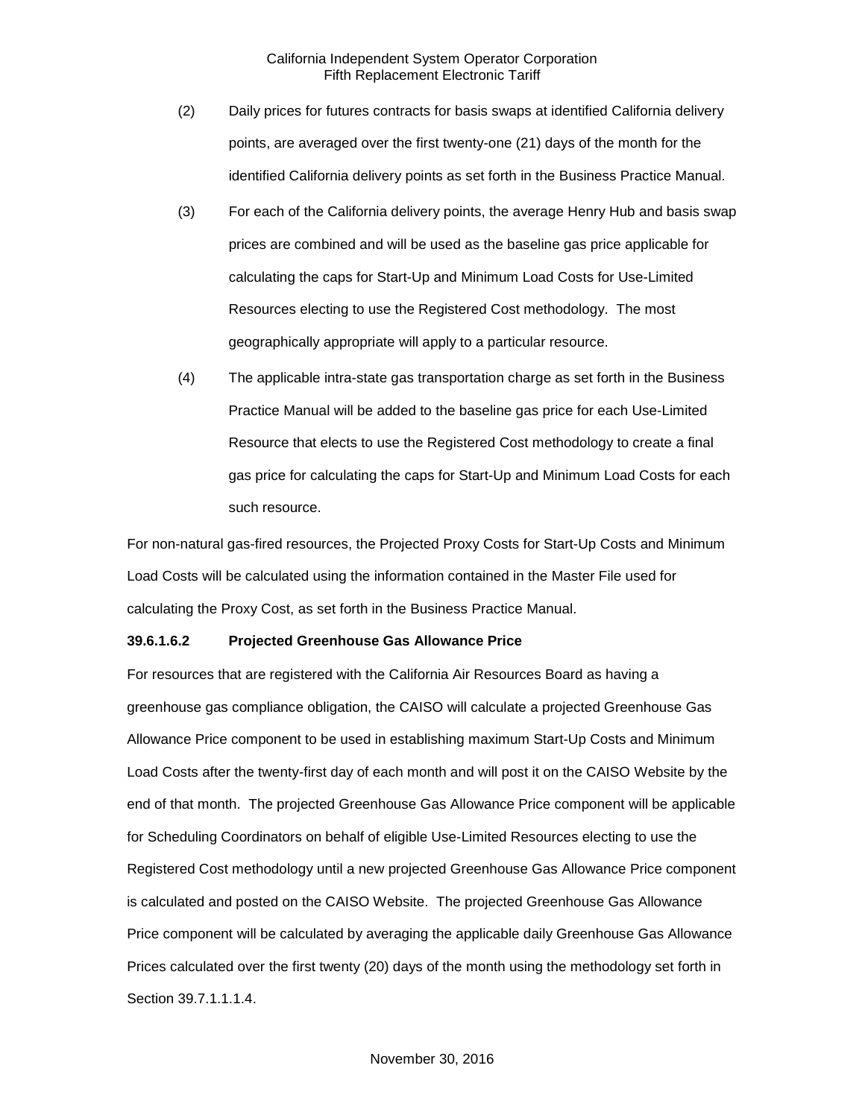- (2) Daily prices for futures contracts for basis swaps at identified California delivery points, are averaged over the first twenty-one (21) days of the month for the identified California delivery points as set forth in the Business Practice Manual.
- (3) For each of the California delivery points, the average Henry Hub and basis swap prices are combined and will be used as the baseline gas price applicable for calculating the caps for Start-Up and Minimum Load Costs for Use-Limited Resources electing to use the Registered Cost methodology. The most geographically appropriate will apply to a particular resource.
- (4) The applicable intra-state gas transportation charge as set forth in the Business Practice Manual will be added to the baseline gas price for each Use-Limited Resource that elects to use the Registered Cost methodology to create a final gas price for calculating the caps for Start-Up and Minimum Load Costs for each such resource.

For non-natural gas-fired resources, the Projected Proxy Costs for Start-Up Costs and Minimum Load Costs will be calculated using the information contained in the Master File used for calculating the Proxy Cost, as set forth in the Business Practice Manual.

#### **39.6.1.6.2 Projected Greenhouse Gas Allowance Price**

For resources that are registered with the California Air Resources Board as having a greenhouse gas compliance obligation, the CAISO will calculate a projected Greenhouse Gas Allowance Price component to be used in establishing maximum Start-Up Costs and Minimum Load Costs after the twenty-first day of each month and will post it on the CAISO Website by the end of that month. The projected Greenhouse Gas Allowance Price component will be applicable for Scheduling Coordinators on behalf of eligible Use-Limited Resources electing to use the Registered Cost methodology until a new projected Greenhouse Gas Allowance Price component is calculated and posted on the CAISO Website. The projected Greenhouse Gas Allowance Price component will be calculated by averaging the applicable daily Greenhouse Gas Allowance Prices calculated over the first twenty (20) days of the month using the methodology set forth in Section 39.7.1.1.1.4.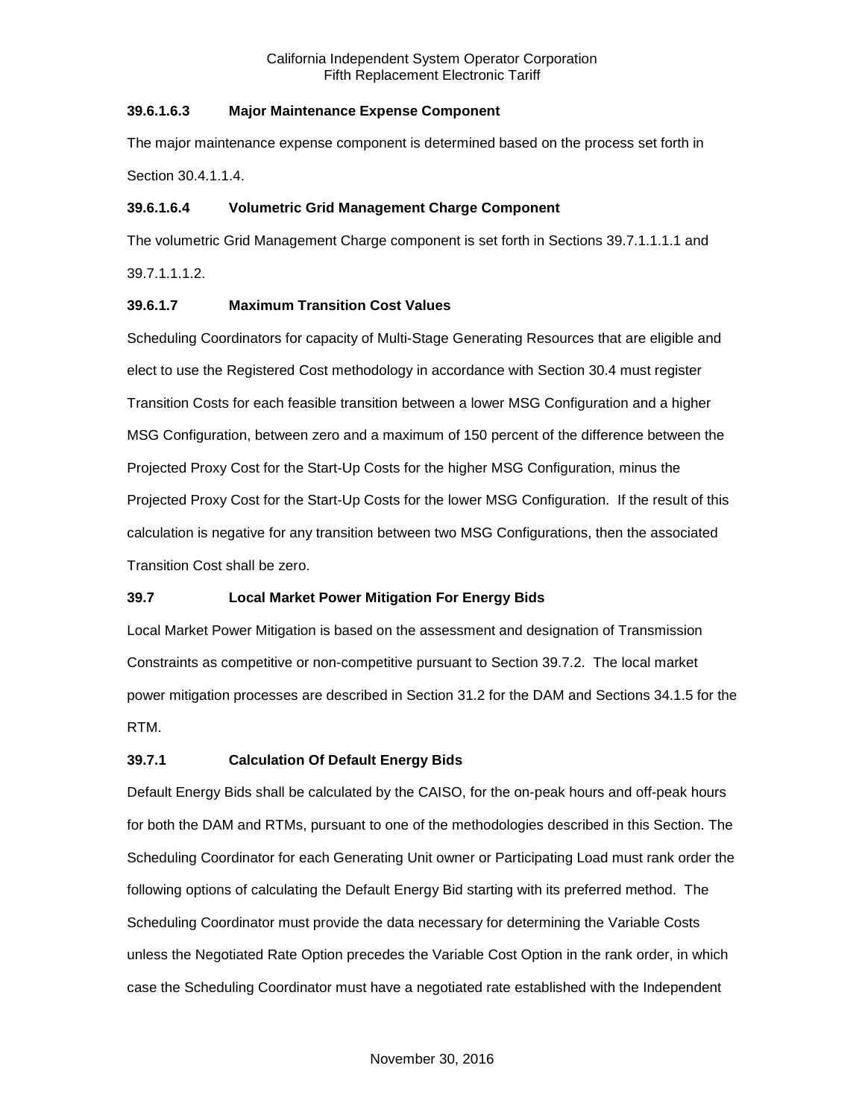## **39.6.1.6.3 Major Maintenance Expense Component**

The major maintenance expense component is determined based on the process set forth in Section 30.4.1.1.4.

## **39.6.1.6.4 Volumetric Grid Management Charge Component**

The volumetric Grid Management Charge component is set forth in Sections 39.7.1.1.1.1 and 39.7.1.1.1.2.

## **39.6.1.7 Maximum Transition Cost Values**

Scheduling Coordinators for capacity of Multi-Stage Generating Resources that are eligible and elect to use the Registered Cost methodology in accordance with Section 30.4 must register Transition Costs for each feasible transition between a lower MSG Configuration and a higher MSG Configuration, between zero and a maximum of 150 percent of the difference between the Projected Proxy Cost for the Start-Up Costs for the higher MSG Configuration, minus the Projected Proxy Cost for the Start-Up Costs for the lower MSG Configuration. If the result of this calculation is negative for any transition between two MSG Configurations, then the associated Transition Cost shall be zero.

## <span id="page-7-0"></span>**39.7 Local Market Power Mitigation For Energy Bids**

Local Market Power Mitigation is based on the assessment and designation of Transmission Constraints as competitive or non-competitive pursuant to Section 39.7.2. The local market power mitigation processes are described in Section 31.2 for the DAM and Sections 34.1.5 for the RTM.

## <span id="page-7-1"></span>**39.7.1 Calculation Of Default Energy Bids**

Default Energy Bids shall be calculated by the CAISO, for the on-peak hours and off-peak hours for both the DAM and RTMs, pursuant to one of the methodologies described in this Section. The Scheduling Coordinator for each Generating Unit owner or Participating Load must rank order the following options of calculating the Default Energy Bid starting with its preferred method. The Scheduling Coordinator must provide the data necessary for determining the Variable Costs unless the Negotiated Rate Option precedes the Variable Cost Option in the rank order, in which case the Scheduling Coordinator must have a negotiated rate established with the Independent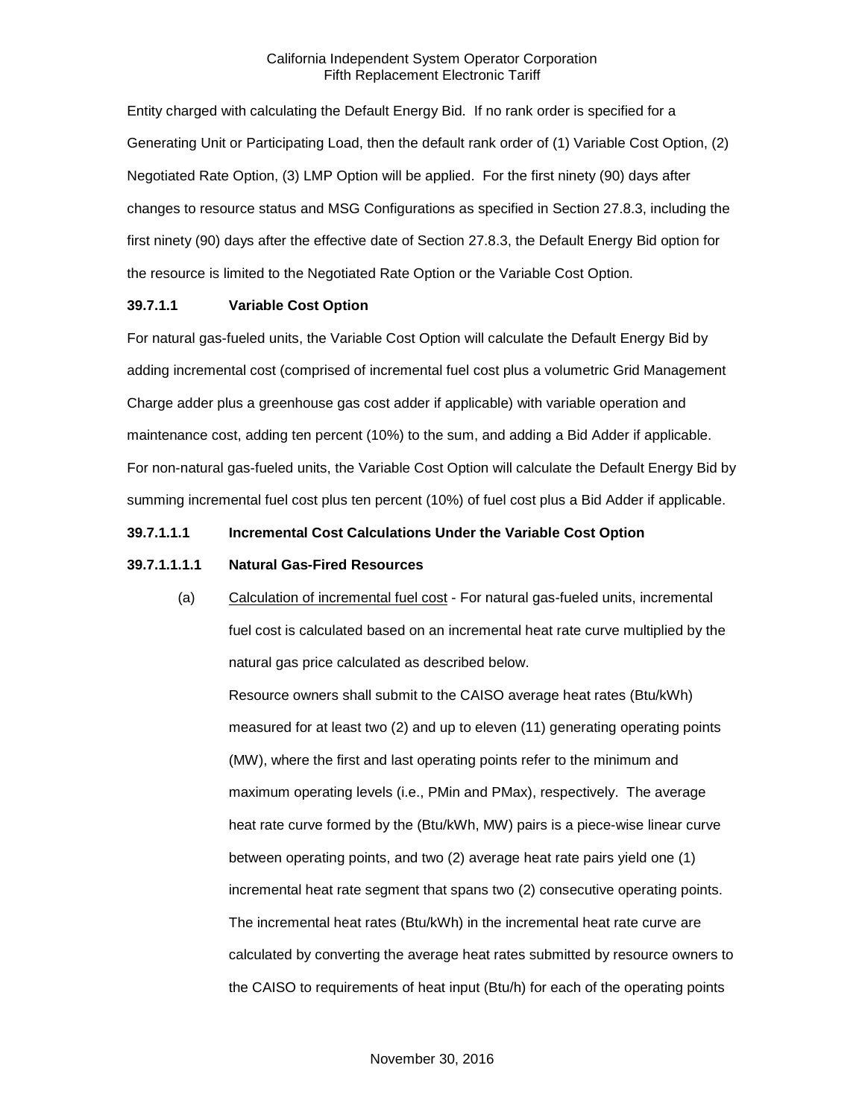Entity charged with calculating the Default Energy Bid. If no rank order is specified for a Generating Unit or Participating Load, then the default rank order of (1) Variable Cost Option, (2) Negotiated Rate Option, (3) LMP Option will be applied. For the first ninety (90) days after changes to resource status and MSG Configurations as specified in Section 27.8.3, including the first ninety (90) days after the effective date of Section 27.8.3, the Default Energy Bid option for the resource is limited to the Negotiated Rate Option or the Variable Cost Option.

#### **39.7.1.1 Variable Cost Option**

For natural gas-fueled units, the Variable Cost Option will calculate the Default Energy Bid by adding incremental cost (comprised of incremental fuel cost plus a volumetric Grid Management Charge adder plus a greenhouse gas cost adder if applicable) with variable operation and maintenance cost, adding ten percent (10%) to the sum, and adding a Bid Adder if applicable. For non-natural gas-fueled units, the Variable Cost Option will calculate the Default Energy Bid by summing incremental fuel cost plus ten percent (10%) of fuel cost plus a Bid Adder if applicable.

## **39.7.1.1.1 Incremental Cost Calculations Under the Variable Cost Option**

#### **39.7.1.1.1.1 Natural Gas-Fired Resources**

(a) Calculation of incremental fuel cost - For natural gas-fueled units, incremental fuel cost is calculated based on an incremental heat rate curve multiplied by the natural gas price calculated as described below.

Resource owners shall submit to the CAISO average heat rates (Btu/kWh) measured for at least two (2) and up to eleven (11) generating operating points (MW), where the first and last operating points refer to the minimum and maximum operating levels (i.e., PMin and PMax), respectively. The average heat rate curve formed by the (Btu/kWh, MW) pairs is a piece-wise linear curve between operating points, and two (2) average heat rate pairs yield one (1) incremental heat rate segment that spans two (2) consecutive operating points. The incremental heat rates (Btu/kWh) in the incremental heat rate curve are calculated by converting the average heat rates submitted by resource owners to the CAISO to requirements of heat input (Btu/h) for each of the operating points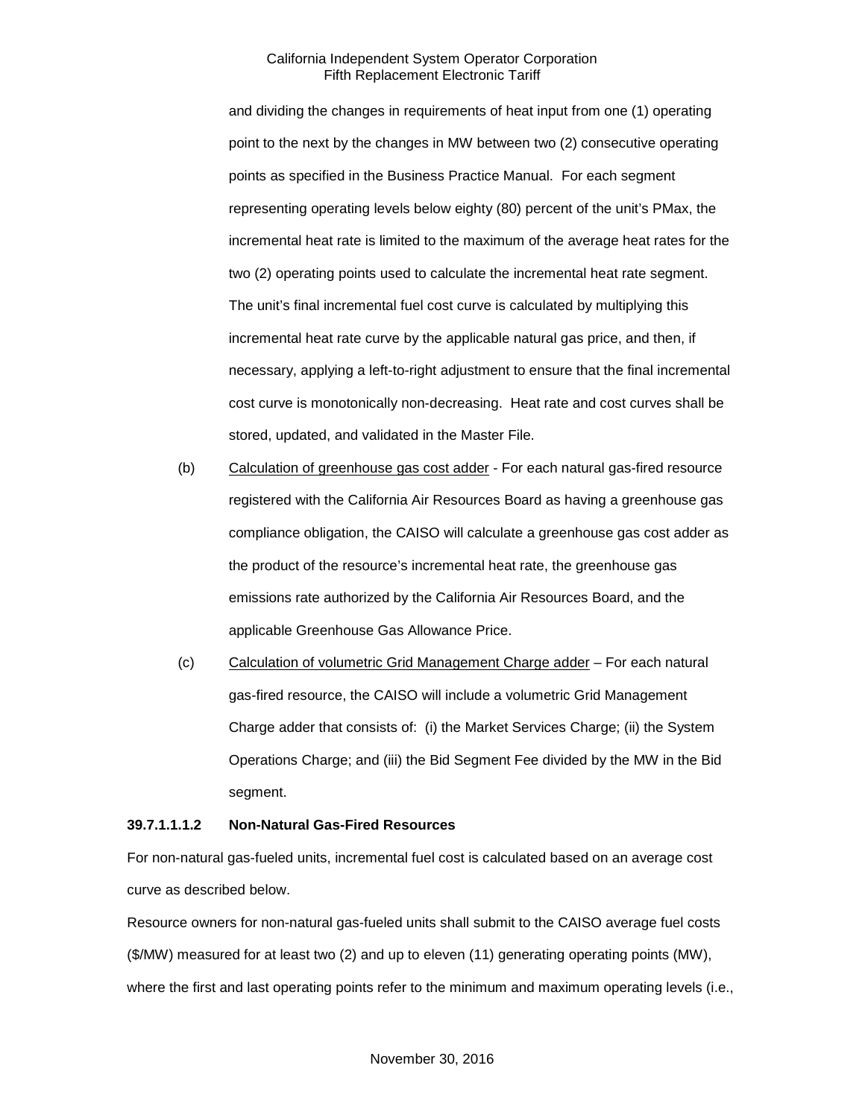and dividing the changes in requirements of heat input from one (1) operating point to the next by the changes in MW between two (2) consecutive operating points as specified in the Business Practice Manual. For each segment representing operating levels below eighty (80) percent of the unit's PMax, the incremental heat rate is limited to the maximum of the average heat rates for the two (2) operating points used to calculate the incremental heat rate segment. The unit's final incremental fuel cost curve is calculated by multiplying this incremental heat rate curve by the applicable natural gas price, and then, if necessary, applying a left-to-right adjustment to ensure that the final incremental cost curve is monotonically non-decreasing. Heat rate and cost curves shall be stored, updated, and validated in the Master File.

- (b) Calculation of greenhouse gas cost adder For each natural gas-fired resource registered with the California Air Resources Board as having a greenhouse gas compliance obligation, the CAISO will calculate a greenhouse gas cost adder as the product of the resource's incremental heat rate, the greenhouse gas emissions rate authorized by the California Air Resources Board, and the applicable Greenhouse Gas Allowance Price.
- (c) Calculation of volumetric Grid Management Charge adder For each natural gas-fired resource, the CAISO will include a volumetric Grid Management Charge adder that consists of: (i) the Market Services Charge; (ii) the System Operations Charge; and (iii) the Bid Segment Fee divided by the MW in the Bid segment.

#### **39.7.1.1.1.2 Non-Natural Gas-Fired Resources**

For non-natural gas-fueled units, incremental fuel cost is calculated based on an average cost curve as described below.

Resource owners for non-natural gas-fueled units shall submit to the CAISO average fuel costs (\$/MW) measured for at least two (2) and up to eleven (11) generating operating points (MW), where the first and last operating points refer to the minimum and maximum operating levels (i.e.,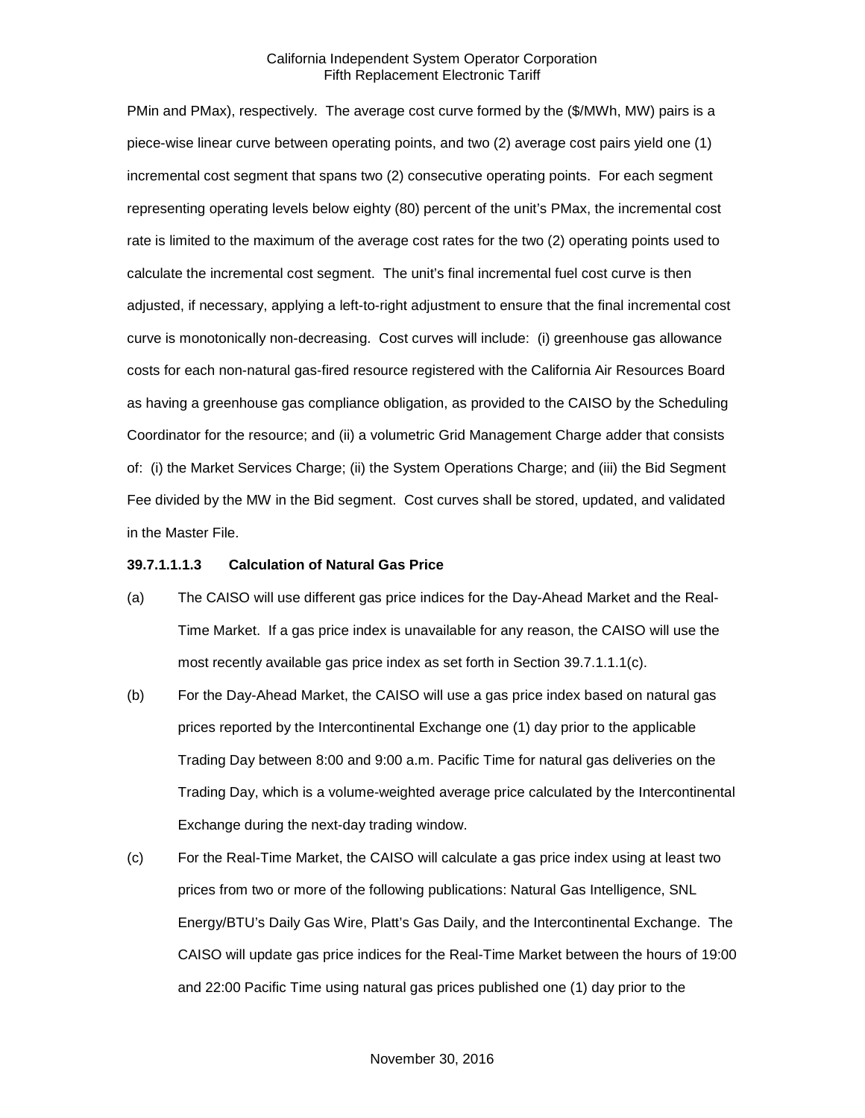PMin and PMax), respectively. The average cost curve formed by the (\$/MWh, MW) pairs is a piece-wise linear curve between operating points, and two (2) average cost pairs yield one (1) incremental cost segment that spans two (2) consecutive operating points. For each segment representing operating levels below eighty (80) percent of the unit's PMax, the incremental cost rate is limited to the maximum of the average cost rates for the two (2) operating points used to calculate the incremental cost segment. The unit's final incremental fuel cost curve is then adjusted, if necessary, applying a left-to-right adjustment to ensure that the final incremental cost curve is monotonically non-decreasing. Cost curves will include: (i) greenhouse gas allowance costs for each non-natural gas-fired resource registered with the California Air Resources Board as having a greenhouse gas compliance obligation, as provided to the CAISO by the Scheduling Coordinator for the resource; and (ii) a volumetric Grid Management Charge adder that consists of: (i) the Market Services Charge; (ii) the System Operations Charge; and (iii) the Bid Segment Fee divided by the MW in the Bid segment. Cost curves shall be stored, updated, and validated in the Master File.

#### **39.7.1.1.1.3 Calculation of Natural Gas Price**

- (a) The CAISO will use different gas price indices for the Day-Ahead Market and the Real-Time Market. If a gas price index is unavailable for any reason, the CAISO will use the most recently available gas price index as set forth in Section 39.7.1.1.1(c).
- (b) For the Day-Ahead Market, the CAISO will use a gas price index based on natural gas prices reported by the Intercontinental Exchange one (1) day prior to the applicable Trading Day between 8:00 and 9:00 a.m. Pacific Time for natural gas deliveries on the Trading Day, which is a volume-weighted average price calculated by the Intercontinental Exchange during the next-day trading window.
- (c) For the Real-Time Market, the CAISO will calculate a gas price index using at least two prices from two or more of the following publications: Natural Gas Intelligence, SNL Energy/BTU's Daily Gas Wire, Platt's Gas Daily, and the Intercontinental Exchange. The CAISO will update gas price indices for the Real-Time Market between the hours of 19:00 and 22:00 Pacific Time using natural gas prices published one (1) day prior to the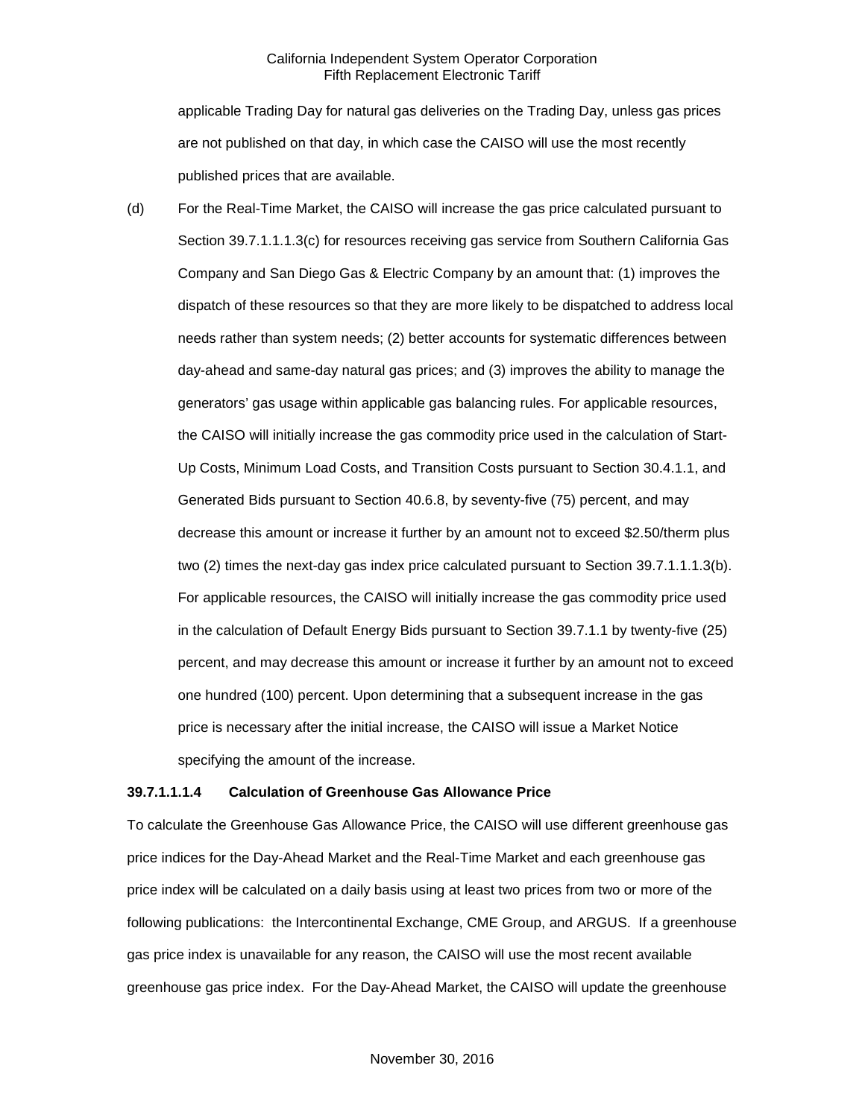applicable Trading Day for natural gas deliveries on the Trading Day, unless gas prices are not published on that day, in which case the CAISO will use the most recently published prices that are available.

(d) For the Real-Time Market, the CAISO will increase the gas price calculated pursuant to Section 39.7.1.1.1.3(c) for resources receiving gas service from Southern California Gas Company and San Diego Gas & Electric Company by an amount that: (1) improves the dispatch of these resources so that they are more likely to be dispatched to address local needs rather than system needs; (2) better accounts for systematic differences between day-ahead and same-day natural gas prices; and (3) improves the ability to manage the generators' gas usage within applicable gas balancing rules. For applicable resources, the CAISO will initially increase the gas commodity price used in the calculation of Start-Up Costs, Minimum Load Costs, and Transition Costs pursuant to Section 30.4.1.1, and Generated Bids pursuant to Section 40.6.8, by seventy-five (75) percent, and may decrease this amount or increase it further by an amount not to exceed \$2.50/therm plus two (2) times the next-day gas index price calculated pursuant to Section 39.7.1.1.1.3(b). For applicable resources, the CAISO will initially increase the gas commodity price used in the calculation of Default Energy Bids pursuant to Section 39.7.1.1 by twenty-five (25) percent, and may decrease this amount or increase it further by an amount not to exceed one hundred (100) percent. Upon determining that a subsequent increase in the gas price is necessary after the initial increase, the CAISO will issue a Market Notice specifying the amount of the increase.

#### **39.7.1.1.1.4 Calculation of Greenhouse Gas Allowance Price**

To calculate the Greenhouse Gas Allowance Price, the CAISO will use different greenhouse gas price indices for the Day-Ahead Market and the Real-Time Market and each greenhouse gas price index will be calculated on a daily basis using at least two prices from two or more of the following publications: the Intercontinental Exchange, CME Group, and ARGUS. If a greenhouse gas price index is unavailable for any reason, the CAISO will use the most recent available greenhouse gas price index. For the Day-Ahead Market, the CAISO will update the greenhouse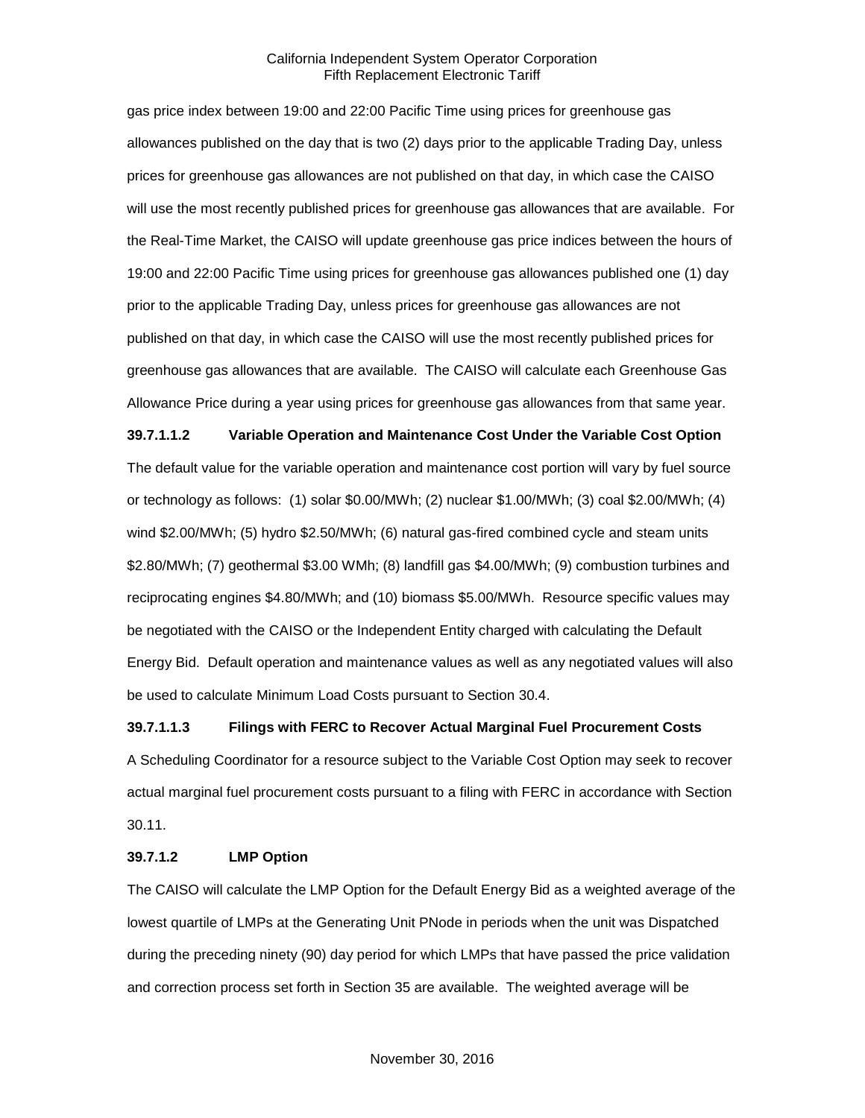gas price index between 19:00 and 22:00 Pacific Time using prices for greenhouse gas allowances published on the day that is two (2) days prior to the applicable Trading Day, unless prices for greenhouse gas allowances are not published on that day, in which case the CAISO will use the most recently published prices for greenhouse gas allowances that are available. For the Real-Time Market, the CAISO will update greenhouse gas price indices between the hours of 19:00 and 22:00 Pacific Time using prices for greenhouse gas allowances published one (1) day prior to the applicable Trading Day, unless prices for greenhouse gas allowances are not published on that day, in which case the CAISO will use the most recently published prices for greenhouse gas allowances that are available. The CAISO will calculate each Greenhouse Gas Allowance Price during a year using prices for greenhouse gas allowances from that same year.

**39.7.1.1.2 Variable Operation and Maintenance Cost Under the Variable Cost Option** The default value for the variable operation and maintenance cost portion will vary by fuel source or technology as follows: (1) solar \$0.00/MWh; (2) nuclear \$1.00/MWh; (3) coal \$2.00/MWh; (4) wind \$2.00/MWh; (5) hydro \$2.50/MWh; (6) natural gas-fired combined cycle and steam units \$2.80/MWh; (7) geothermal \$3.00 WMh; (8) landfill gas \$4.00/MWh; (9) combustion turbines and reciprocating engines \$4.80/MWh; and (10) biomass \$5.00/MWh. Resource specific values may be negotiated with the CAISO or the Independent Entity charged with calculating the Default Energy Bid. Default operation and maintenance values as well as any negotiated values will also be used to calculate Minimum Load Costs pursuant to Section 30.4.

#### **39.7.1.1.3 Filings with FERC to Recover Actual Marginal Fuel Procurement Costs**

A Scheduling Coordinator for a resource subject to the Variable Cost Option may seek to recover actual marginal fuel procurement costs pursuant to a filing with FERC in accordance with Section 30.11.

#### **39.7.1.2 LMP Option**

The CAISO will calculate the LMP Option for the Default Energy Bid as a weighted average of the lowest quartile of LMPs at the Generating Unit PNode in periods when the unit was Dispatched during the preceding ninety (90) day period for which LMPs that have passed the price validation and correction process set forth in Section 35 are available. The weighted average will be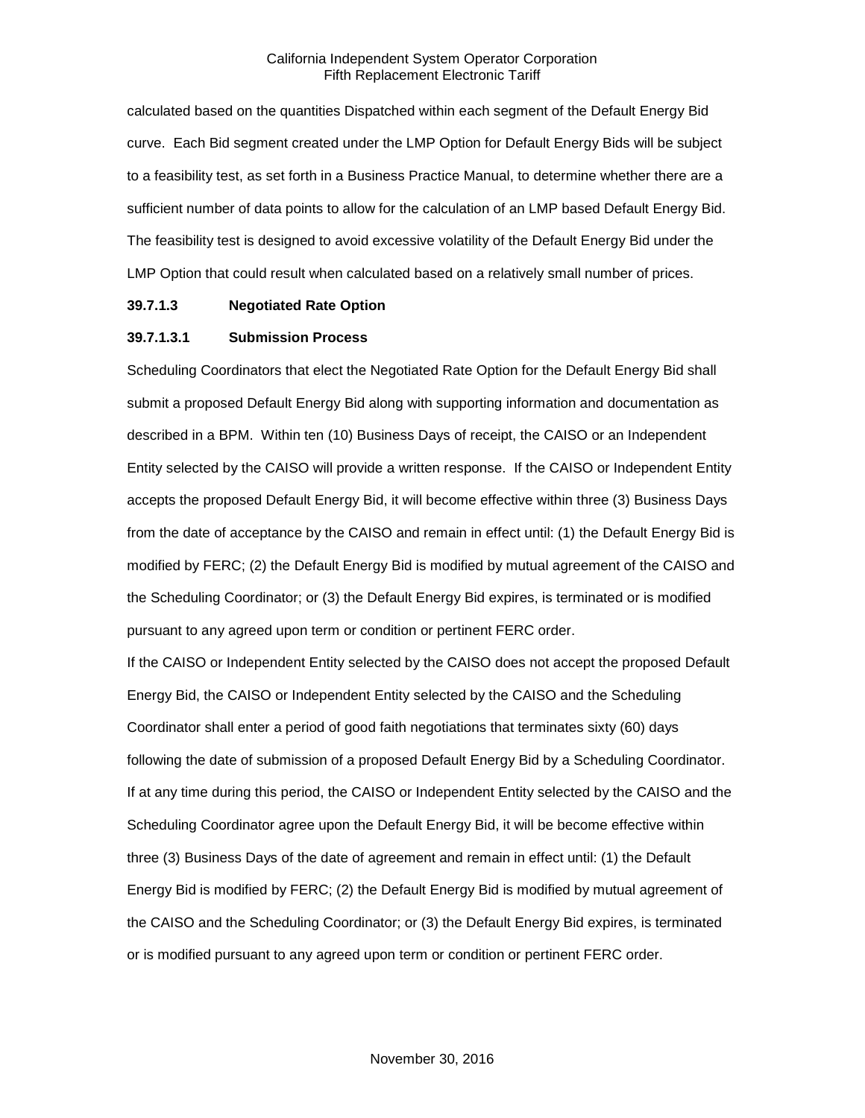calculated based on the quantities Dispatched within each segment of the Default Energy Bid curve. Each Bid segment created under the LMP Option for Default Energy Bids will be subject to a feasibility test, as set forth in a Business Practice Manual, to determine whether there are a sufficient number of data points to allow for the calculation of an LMP based Default Energy Bid. The feasibility test is designed to avoid excessive volatility of the Default Energy Bid under the LMP Option that could result when calculated based on a relatively small number of prices.

#### **39.7.1.3 Negotiated Rate Option**

#### **39.7.1.3.1 Submission Process**

Scheduling Coordinators that elect the Negotiated Rate Option for the Default Energy Bid shall submit a proposed Default Energy Bid along with supporting information and documentation as described in a BPM. Within ten (10) Business Days of receipt, the CAISO or an Independent Entity selected by the CAISO will provide a written response. If the CAISO or Independent Entity accepts the proposed Default Energy Bid, it will become effective within three (3) Business Days from the date of acceptance by the CAISO and remain in effect until: (1) the Default Energy Bid is modified by FERC; (2) the Default Energy Bid is modified by mutual agreement of the CAISO and the Scheduling Coordinator; or (3) the Default Energy Bid expires, is terminated or is modified pursuant to any agreed upon term or condition or pertinent FERC order.

If the CAISO or Independent Entity selected by the CAISO does not accept the proposed Default Energy Bid, the CAISO or Independent Entity selected by the CAISO and the Scheduling Coordinator shall enter a period of good faith negotiations that terminates sixty (60) days following the date of submission of a proposed Default Energy Bid by a Scheduling Coordinator. If at any time during this period, the CAISO or Independent Entity selected by the CAISO and the Scheduling Coordinator agree upon the Default Energy Bid, it will be become effective within three (3) Business Days of the date of agreement and remain in effect until: (1) the Default Energy Bid is modified by FERC; (2) the Default Energy Bid is modified by mutual agreement of the CAISO and the Scheduling Coordinator; or (3) the Default Energy Bid expires, is terminated or is modified pursuant to any agreed upon term or condition or pertinent FERC order.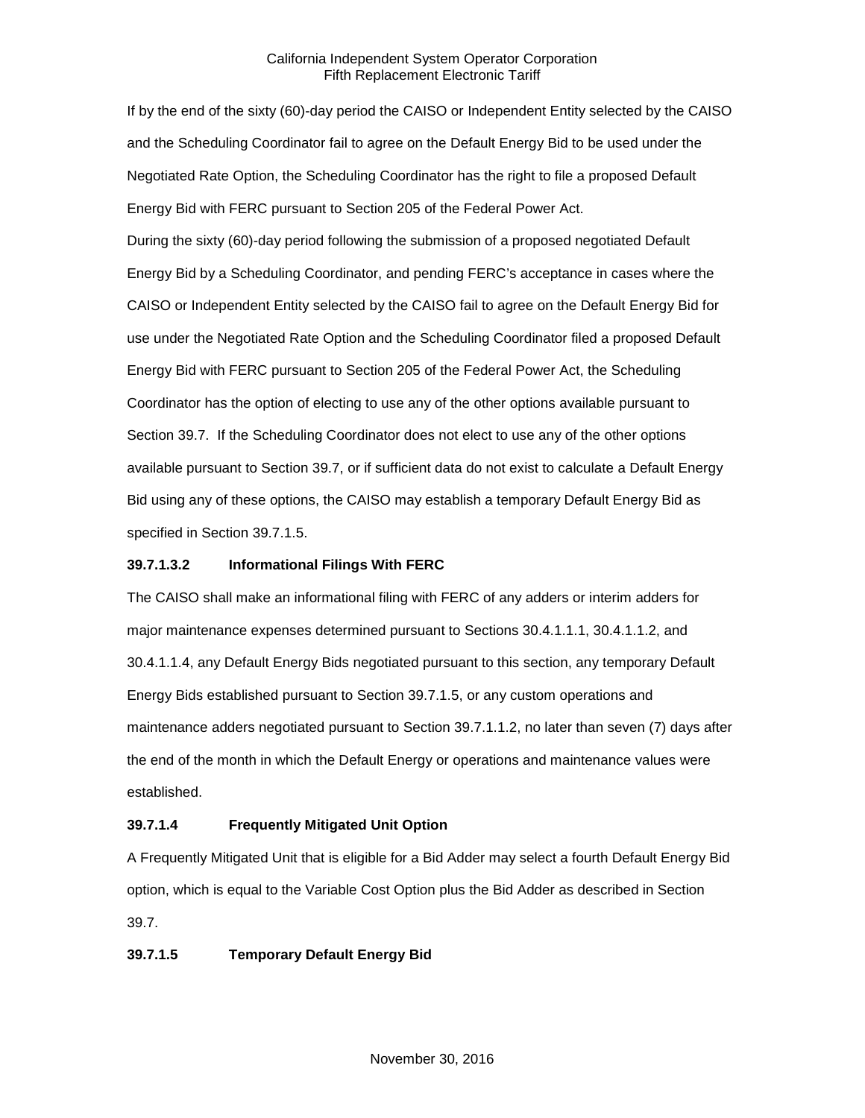If by the end of the sixty (60)-day period the CAISO or Independent Entity selected by the CAISO and the Scheduling Coordinator fail to agree on the Default Energy Bid to be used under the Negotiated Rate Option, the Scheduling Coordinator has the right to file a proposed Default Energy Bid with FERC pursuant to Section 205 of the Federal Power Act.

During the sixty (60)-day period following the submission of a proposed negotiated Default Energy Bid by a Scheduling Coordinator, and pending FERC's acceptance in cases where the CAISO or Independent Entity selected by the CAISO fail to agree on the Default Energy Bid for use under the Negotiated Rate Option and the Scheduling Coordinator filed a proposed Default Energy Bid with FERC pursuant to Section 205 of the Federal Power Act, the Scheduling Coordinator has the option of electing to use any of the other options available pursuant to Section 39.7. If the Scheduling Coordinator does not elect to use any of the other options available pursuant to Section 39.7, or if sufficient data do not exist to calculate a Default Energy Bid using any of these options, the CAISO may establish a temporary Default Energy Bid as specified in Section 39.7.1.5.

## **39.7.1.3.2 Informational Filings With FERC**

The CAISO shall make an informational filing with FERC of any adders or interim adders for major maintenance expenses determined pursuant to Sections 30.4.1.1.1, 30.4.1.1.2, and 30.4.1.1.4, any Default Energy Bids negotiated pursuant to this section, any temporary Default Energy Bids established pursuant to Section 39.7.1.5, or any custom operations and maintenance adders negotiated pursuant to Section 39.7.1.1.2, no later than seven (7) days after the end of the month in which the Default Energy or operations and maintenance values were established.

## **39.7.1.4 Frequently Mitigated Unit Option**

A Frequently Mitigated Unit that is eligible for a Bid Adder may select a fourth Default Energy Bid option, which is equal to the Variable Cost Option plus the Bid Adder as described in Section 39.7.

## **39.7.1.5 Temporary Default Energy Bid**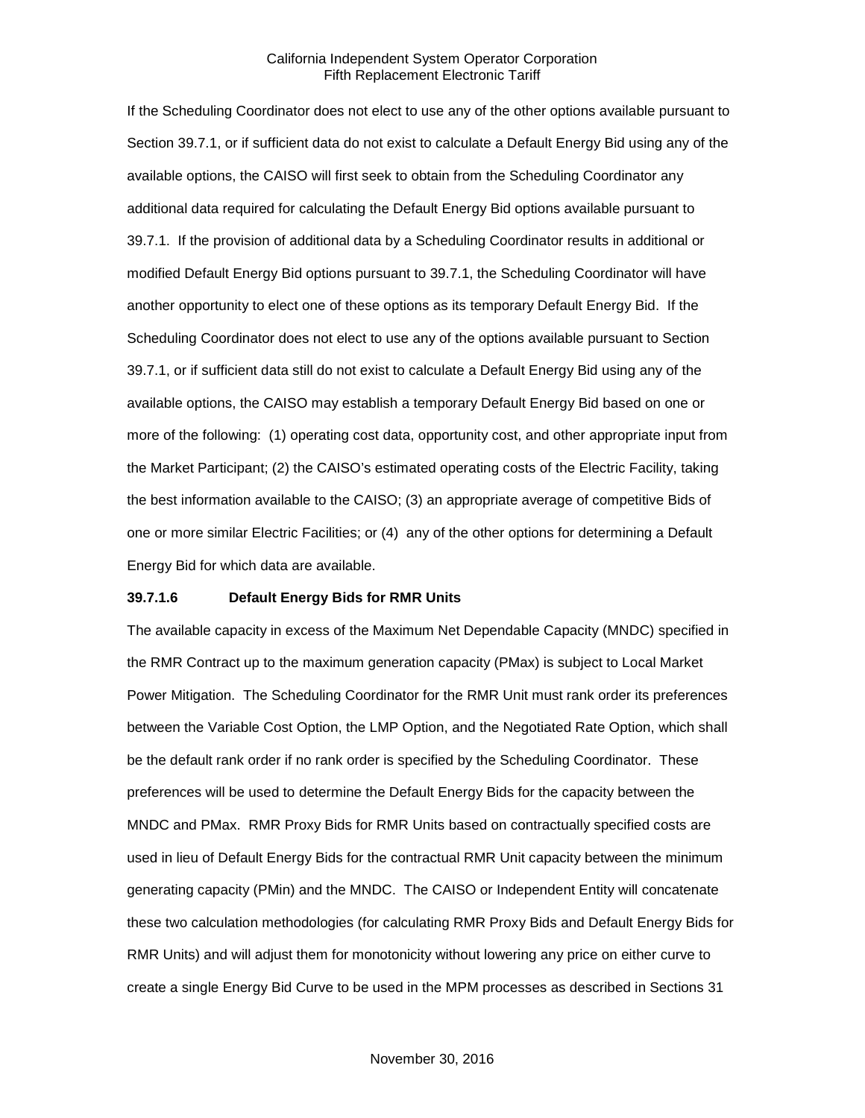If the Scheduling Coordinator does not elect to use any of the other options available pursuant to Section 39.7.1, or if sufficient data do not exist to calculate a Default Energy Bid using any of the available options, the CAISO will first seek to obtain from the Scheduling Coordinator any additional data required for calculating the Default Energy Bid options available pursuant to 39.7.1. If the provision of additional data by a Scheduling Coordinator results in additional or modified Default Energy Bid options pursuant to 39.7.1, the Scheduling Coordinator will have another opportunity to elect one of these options as its temporary Default Energy Bid. If the Scheduling Coordinator does not elect to use any of the options available pursuant to Section 39.7.1, or if sufficient data still do not exist to calculate a Default Energy Bid using any of the available options, the CAISO may establish a temporary Default Energy Bid based on one or more of the following: (1) operating cost data, opportunity cost, and other appropriate input from the Market Participant; (2) the CAISO's estimated operating costs of the Electric Facility, taking the best information available to the CAISO; (3) an appropriate average of competitive Bids of one or more similar Electric Facilities; or (4) any of the other options for determining a Default Energy Bid for which data are available.

#### **39.7.1.6 Default Energy Bids for RMR Units**

The available capacity in excess of the Maximum Net Dependable Capacity (MNDC) specified in the RMR Contract up to the maximum generation capacity (PMax) is subject to Local Market Power Mitigation. The Scheduling Coordinator for the RMR Unit must rank order its preferences between the Variable Cost Option, the LMP Option, and the Negotiated Rate Option, which shall be the default rank order if no rank order is specified by the Scheduling Coordinator. These preferences will be used to determine the Default Energy Bids for the capacity between the MNDC and PMax. RMR Proxy Bids for RMR Units based on contractually specified costs are used in lieu of Default Energy Bids for the contractual RMR Unit capacity between the minimum generating capacity (PMin) and the MNDC. The CAISO or Independent Entity will concatenate these two calculation methodologies (for calculating RMR Proxy Bids and Default Energy Bids for RMR Units) and will adjust them for monotonicity without lowering any price on either curve to create a single Energy Bid Curve to be used in the MPM processes as described in Sections 31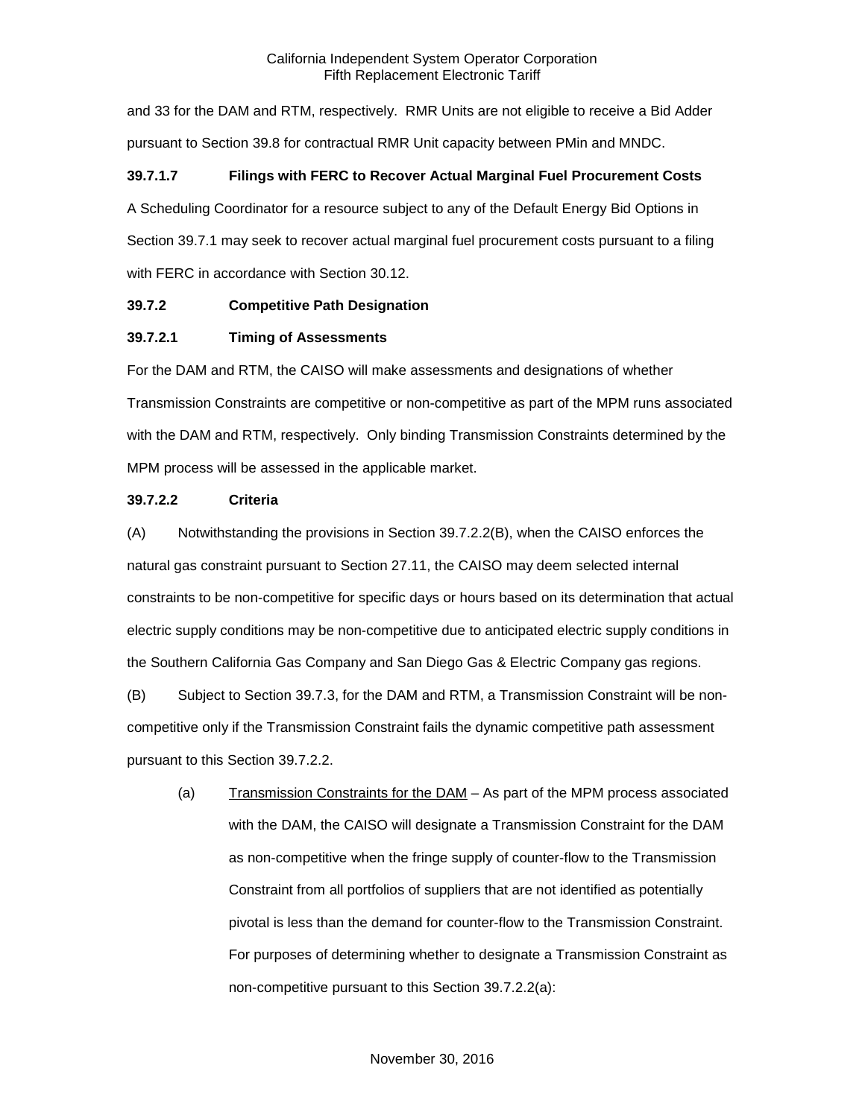and 33 for the DAM and RTM, respectively. RMR Units are not eligible to receive a Bid Adder pursuant to Section 39.8 for contractual RMR Unit capacity between PMin and MNDC.

## **39.7.1.7 Filings with FERC to Recover Actual Marginal Fuel Procurement Costs**

A Scheduling Coordinator for a resource subject to any of the Default Energy Bid Options in Section 39.7.1 may seek to recover actual marginal fuel procurement costs pursuant to a filing with FERC in accordance with Section 30.12.

## <span id="page-16-0"></span>**39.7.2 Competitive Path Designation**

#### **39.7.2.1 Timing of Assessments**

For the DAM and RTM, the CAISO will make assessments and designations of whether Transmission Constraints are competitive or non-competitive as part of the MPM runs associated with the DAM and RTM, respectively. Only binding Transmission Constraints determined by the MPM process will be assessed in the applicable market.

## **39.7.2.2 Criteria**

(A) Notwithstanding the provisions in Section 39.7.2.2(B), when the CAISO enforces the natural gas constraint pursuant to Section 27.11, the CAISO may deem selected internal constraints to be non-competitive for specific days or hours based on its determination that actual electric supply conditions may be non-competitive due to anticipated electric supply conditions in the Southern California Gas Company and San Diego Gas & Electric Company gas regions.

(B) Subject to Section 39.7.3, for the DAM and RTM, a Transmission Constraint will be noncompetitive only if the Transmission Constraint fails the dynamic competitive path assessment pursuant to this Section 39.7.2.2.

(a) Transmission Constraints for the DAM – As part of the MPM process associated with the DAM, the CAISO will designate a Transmission Constraint for the DAM as non-competitive when the fringe supply of counter-flow to the Transmission Constraint from all portfolios of suppliers that are not identified as potentially pivotal is less than the demand for counter-flow to the Transmission Constraint. For purposes of determining whether to designate a Transmission Constraint as non-competitive pursuant to this Section 39.7.2.2(a):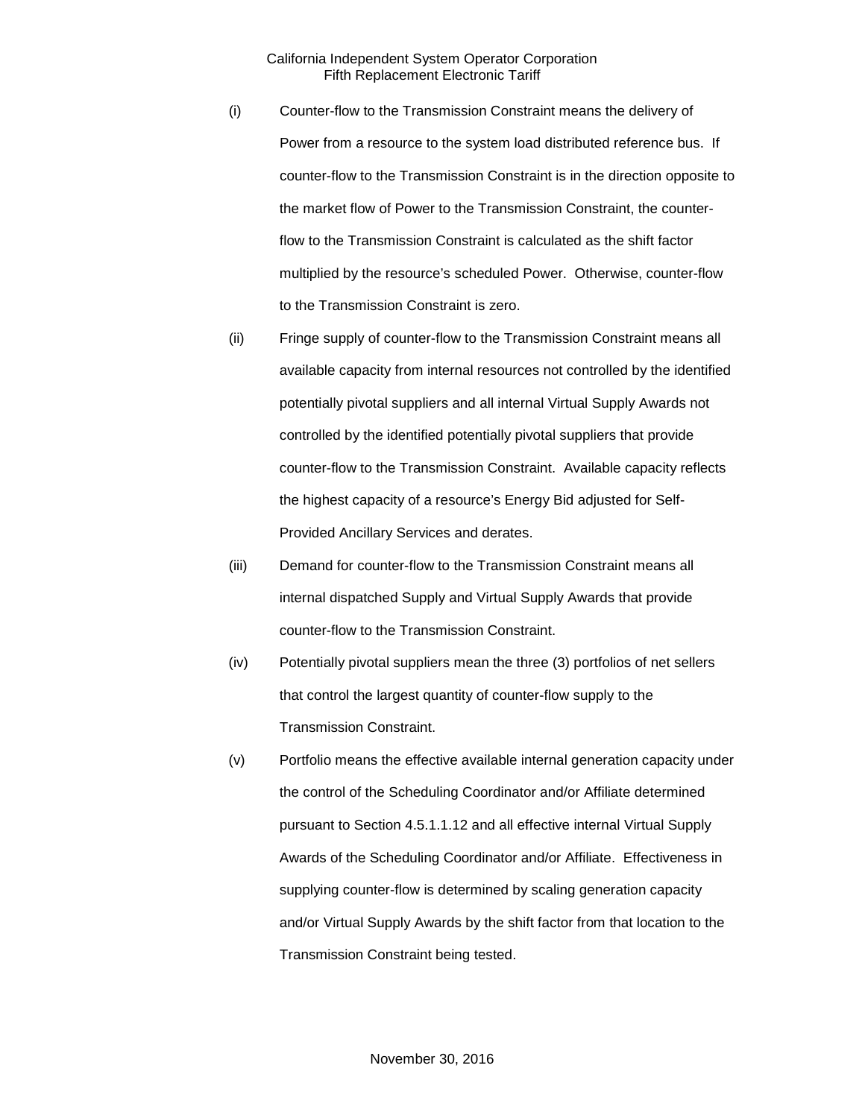- (i) Counter-flow to the Transmission Constraint means the delivery of Power from a resource to the system load distributed reference bus. If counter-flow to the Transmission Constraint is in the direction opposite to the market flow of Power to the Transmission Constraint, the counterflow to the Transmission Constraint is calculated as the shift factor multiplied by the resource's scheduled Power. Otherwise, counter-flow to the Transmission Constraint is zero.
- (ii) Fringe supply of counter-flow to the Transmission Constraint means all available capacity from internal resources not controlled by the identified potentially pivotal suppliers and all internal Virtual Supply Awards not controlled by the identified potentially pivotal suppliers that provide counter-flow to the Transmission Constraint. Available capacity reflects the highest capacity of a resource's Energy Bid adjusted for Self-Provided Ancillary Services and derates.
- (iii) Demand for counter-flow to the Transmission Constraint means all internal dispatched Supply and Virtual Supply Awards that provide counter-flow to the Transmission Constraint.
- (iv) Potentially pivotal suppliers mean the three (3) portfolios of net sellers that control the largest quantity of counter-flow supply to the Transmission Constraint.
- (v) Portfolio means the effective available internal generation capacity under the control of the Scheduling Coordinator and/or Affiliate determined pursuant to Section 4.5.1.1.12 and all effective internal Virtual Supply Awards of the Scheduling Coordinator and/or Affiliate. Effectiveness in supplying counter-flow is determined by scaling generation capacity and/or Virtual Supply Awards by the shift factor from that location to the Transmission Constraint being tested.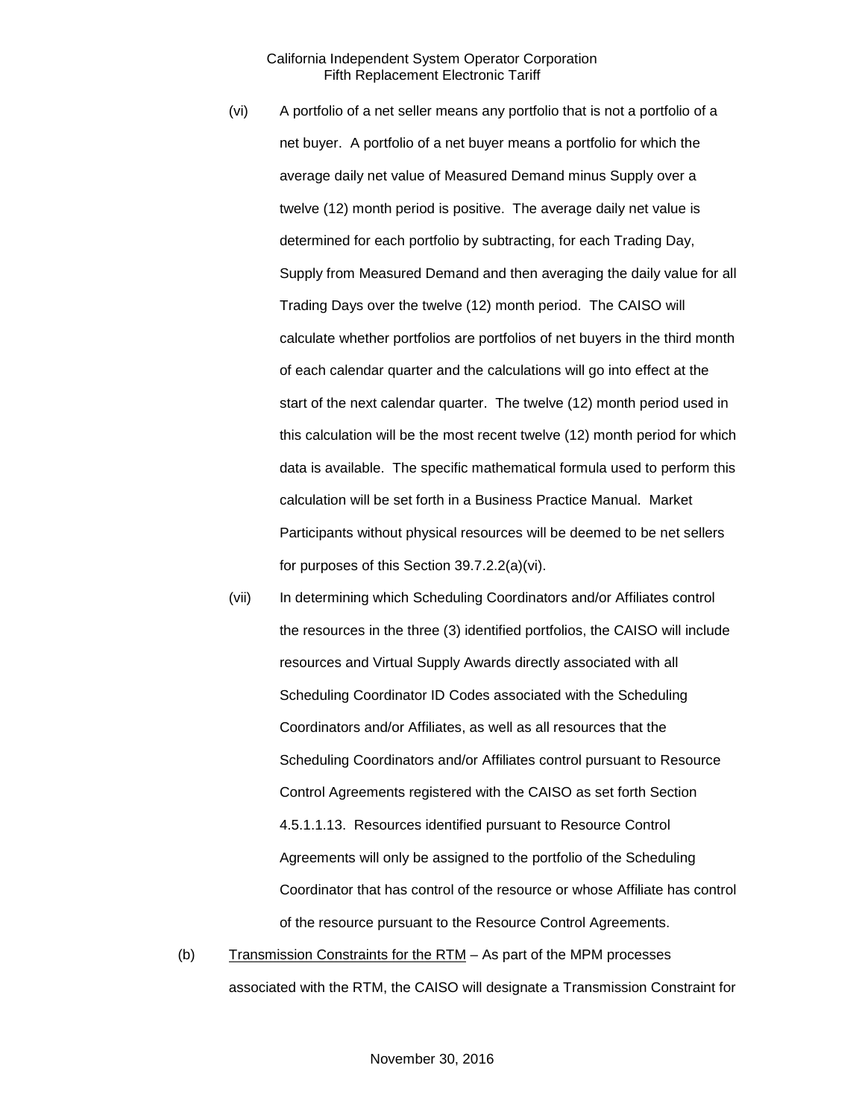- (vi) A portfolio of a net seller means any portfolio that is not a portfolio of a net buyer. A portfolio of a net buyer means a portfolio for which the average daily net value of Measured Demand minus Supply over a twelve (12) month period is positive. The average daily net value is determined for each portfolio by subtracting, for each Trading Day, Supply from Measured Demand and then averaging the daily value for all Trading Days over the twelve (12) month period. The CAISO will calculate whether portfolios are portfolios of net buyers in the third month of each calendar quarter and the calculations will go into effect at the start of the next calendar quarter. The twelve (12) month period used in this calculation will be the most recent twelve (12) month period for which data is available. The specific mathematical formula used to perform this calculation will be set forth in a Business Practice Manual. Market Participants without physical resources will be deemed to be net sellers for purposes of this Section 39.7.2.2(a)(vi).
- (vii) In determining which Scheduling Coordinators and/or Affiliates control the resources in the three (3) identified portfolios, the CAISO will include resources and Virtual Supply Awards directly associated with all Scheduling Coordinator ID Codes associated with the Scheduling Coordinators and/or Affiliates, as well as all resources that the Scheduling Coordinators and/or Affiliates control pursuant to Resource Control Agreements registered with the CAISO as set forth Section 4.5.1.1.13. Resources identified pursuant to Resource Control Agreements will only be assigned to the portfolio of the Scheduling Coordinator that has control of the resource or whose Affiliate has control of the resource pursuant to the Resource Control Agreements.
- (b) Transmission Constraints for the  $RTM As$  part of the MPM processes associated with the RTM, the CAISO will designate a Transmission Constraint for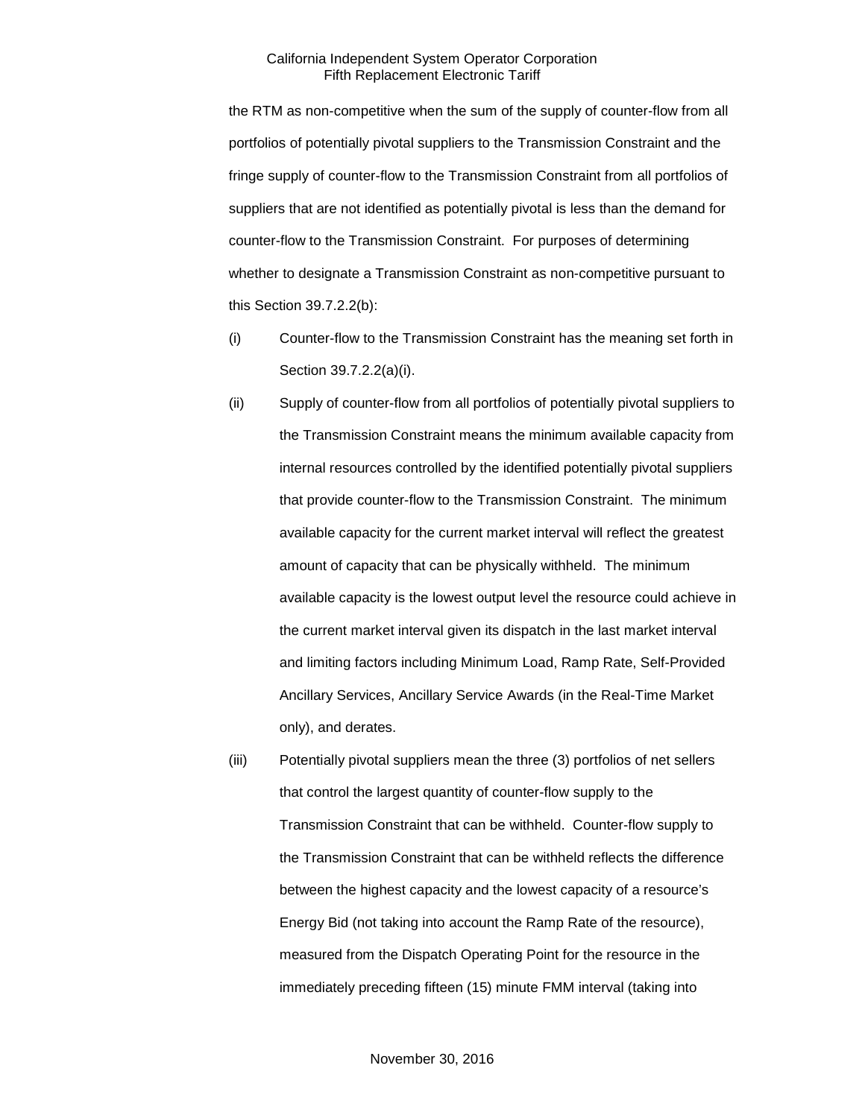the RTM as non-competitive when the sum of the supply of counter-flow from all portfolios of potentially pivotal suppliers to the Transmission Constraint and the fringe supply of counter-flow to the Transmission Constraint from all portfolios of suppliers that are not identified as potentially pivotal is less than the demand for counter-flow to the Transmission Constraint. For purposes of determining whether to designate a Transmission Constraint as non-competitive pursuant to this Section 39.7.2.2(b):

- (i) Counter-flow to the Transmission Constraint has the meaning set forth in Section 39.7.2.2(a)(i).
- (ii) Supply of counter-flow from all portfolios of potentially pivotal suppliers to the Transmission Constraint means the minimum available capacity from internal resources controlled by the identified potentially pivotal suppliers that provide counter-flow to the Transmission Constraint. The minimum available capacity for the current market interval will reflect the greatest amount of capacity that can be physically withheld. The minimum available capacity is the lowest output level the resource could achieve in the current market interval given its dispatch in the last market interval and limiting factors including Minimum Load, Ramp Rate, Self-Provided Ancillary Services, Ancillary Service Awards (in the Real-Time Market only), and derates.
- (iii) Potentially pivotal suppliers mean the three (3) portfolios of net sellers that control the largest quantity of counter-flow supply to the Transmission Constraint that can be withheld. Counter-flow supply to the Transmission Constraint that can be withheld reflects the difference between the highest capacity and the lowest capacity of a resource's Energy Bid (not taking into account the Ramp Rate of the resource), measured from the Dispatch Operating Point for the resource in the immediately preceding fifteen (15) minute FMM interval (taking into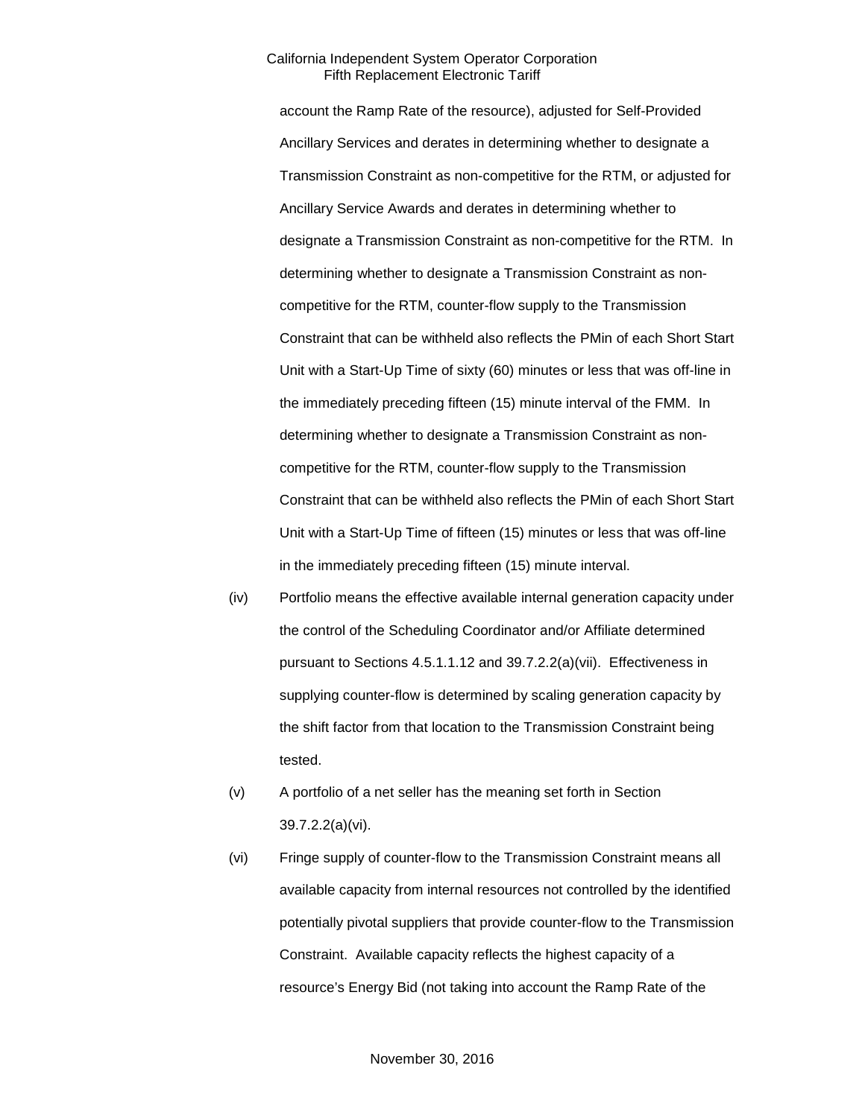account the Ramp Rate of the resource), adjusted for Self-Provided Ancillary Services and derates in determining whether to designate a Transmission Constraint as non-competitive for the RTM, or adjusted for Ancillary Service Awards and derates in determining whether to designate a Transmission Constraint as non-competitive for the RTM. In determining whether to designate a Transmission Constraint as noncompetitive for the RTM, counter-flow supply to the Transmission Constraint that can be withheld also reflects the PMin of each Short Start Unit with a Start-Up Time of sixty (60) minutes or less that was off-line in the immediately preceding fifteen (15) minute interval of the FMM. In determining whether to designate a Transmission Constraint as noncompetitive for the RTM, counter-flow supply to the Transmission Constraint that can be withheld also reflects the PMin of each Short Start Unit with a Start-Up Time of fifteen (15) minutes or less that was off-line in the immediately preceding fifteen (15) minute interval.

- (iv) Portfolio means the effective available internal generation capacity under the control of the Scheduling Coordinator and/or Affiliate determined pursuant to Sections 4.5.1.1.12 and 39.7.2.2(a)(vii). Effectiveness in supplying counter-flow is determined by scaling generation capacity by the shift factor from that location to the Transmission Constraint being tested.
- (v) A portfolio of a net seller has the meaning set forth in Section 39.7.2.2(a)(vi).
- (vi) Fringe supply of counter-flow to the Transmission Constraint means all available capacity from internal resources not controlled by the identified potentially pivotal suppliers that provide counter-flow to the Transmission Constraint. Available capacity reflects the highest capacity of a resource's Energy Bid (not taking into account the Ramp Rate of the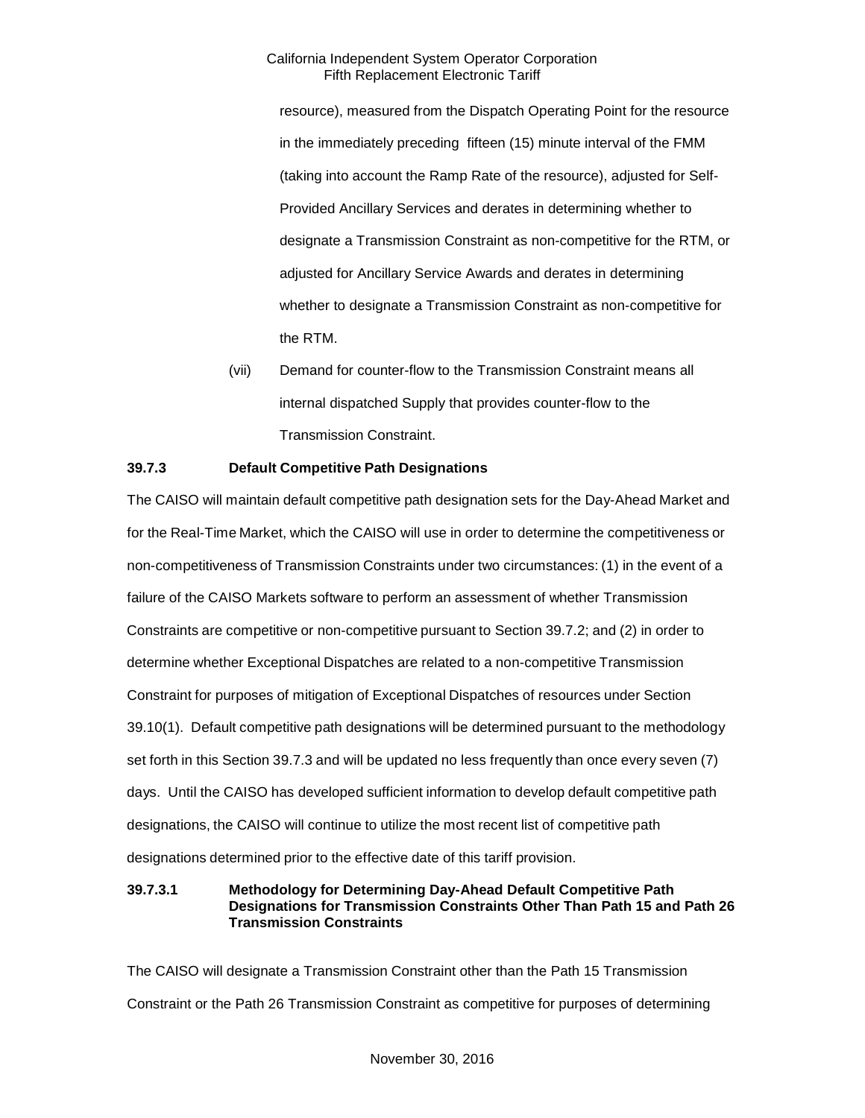resource), measured from the Dispatch Operating Point for the resource in the immediately preceding fifteen (15) minute interval of the FMM (taking into account the Ramp Rate of the resource), adjusted for Self-Provided Ancillary Services and derates in determining whether to designate a Transmission Constraint as non-competitive for the RTM, or adjusted for Ancillary Service Awards and derates in determining whether to designate a Transmission Constraint as non-competitive for the RTM.

(vii) Demand for counter-flow to the Transmission Constraint means all internal dispatched Supply that provides counter-flow to the Transmission Constraint.

## <span id="page-21-0"></span>**39.7.3 Default Competitive Path Designations**

The CAISO will maintain default competitive path designation sets for the Day-Ahead Market and for the Real-Time Market, which the CAISO will use in order to determine the competitiveness or non-competitiveness of Transmission Constraints under two circumstances: (1) in the event of a failure of the CAISO Markets software to perform an assessment of whether Transmission Constraints are competitive or non-competitive pursuant to Section 39.7.2; and (2) in order to determine whether Exceptional Dispatches are related to a non-competitive Transmission Constraint for purposes of mitigation of Exceptional Dispatches of resources under Section 39.10(1). Default competitive path designations will be determined pursuant to the methodology set forth in this Section 39.7.3 and will be updated no less frequently than once every seven (7) days. Until the CAISO has developed sufficient information to develop default competitive path designations, the CAISO will continue to utilize the most recent list of competitive path designations determined prior to the effective date of this tariff provision.

## **39.7.3.1 Methodology for Determining Day-Ahead Default Competitive Path Designations for Transmission Constraints Other Than Path 15 and Path 26 Transmission Constraints**

The CAISO will designate a Transmission Constraint other than the Path 15 Transmission Constraint or the Path 26 Transmission Constraint as competitive for purposes of determining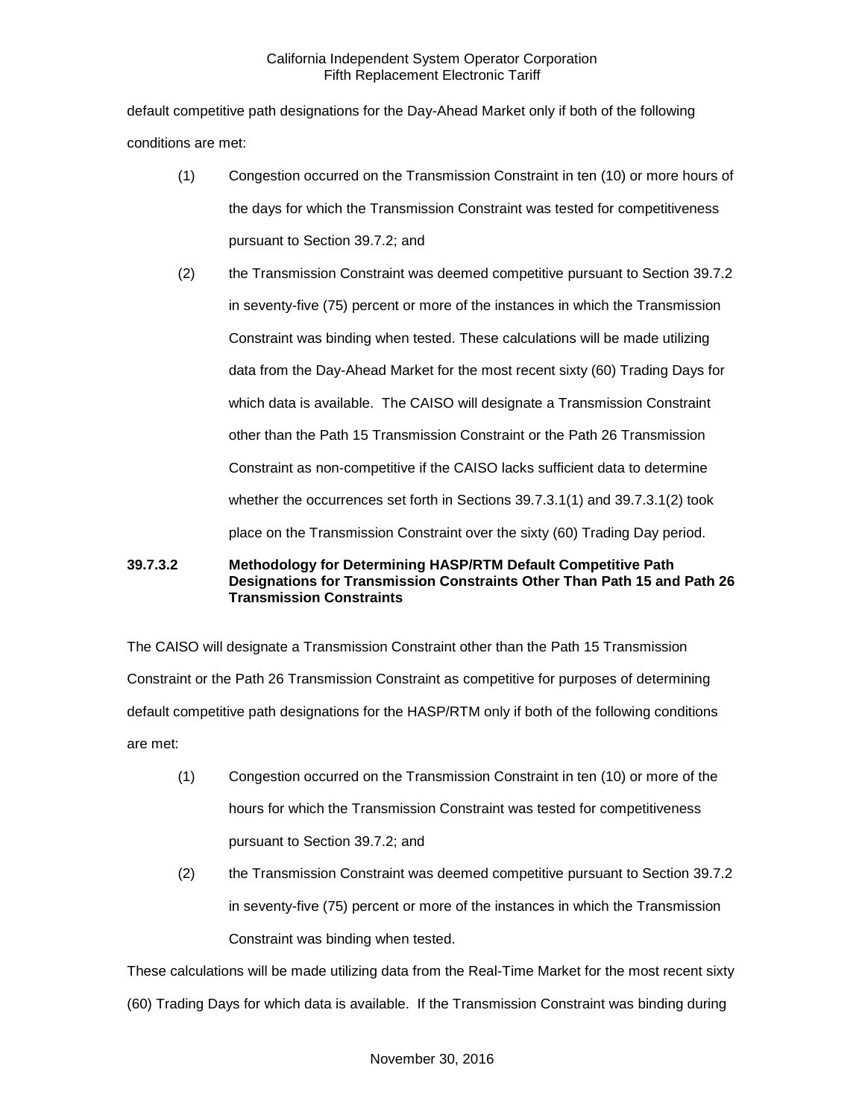default competitive path designations for the Day-Ahead Market only if both of the following conditions are met:

- (1) Congestion occurred on the Transmission Constraint in ten (10) or more hours of the days for which the Transmission Constraint was tested for competitiveness pursuant to Section 39.7.2; and
- (2) the Transmission Constraint was deemed competitive pursuant to Section 39.7.2 in seventy-five (75) percent or more of the instances in which the Transmission Constraint was binding when tested. These calculations will be made utilizing data from the Day-Ahead Market for the most recent sixty (60) Trading Days for which data is available. The CAISO will designate a Transmission Constraint other than the Path 15 Transmission Constraint or the Path 26 Transmission Constraint as non-competitive if the CAISO lacks sufficient data to determine whether the occurrences set forth in Sections 39.7.3.1(1) and 39.7.3.1(2) took place on the Transmission Constraint over the sixty (60) Trading Day period.

## **39.7.3.2 Methodology for Determining HASP/RTM Default Competitive Path Designations for Transmission Constraints Other Than Path 15 and Path 26 Transmission Constraints**

The CAISO will designate a Transmission Constraint other than the Path 15 Transmission Constraint or the Path 26 Transmission Constraint as competitive for purposes of determining default competitive path designations for the HASP/RTM only if both of the following conditions are met:

- (1) Congestion occurred on the Transmission Constraint in ten (10) or more of the hours for which the Transmission Constraint was tested for competitiveness pursuant to Section 39.7.2; and
- (2) the Transmission Constraint was deemed competitive pursuant to Section 39.7.2 in seventy-five (75) percent or more of the instances in which the Transmission Constraint was binding when tested.

These calculations will be made utilizing data from the Real-Time Market for the most recent sixty

(60) Trading Days for which data is available. If the Transmission Constraint was binding during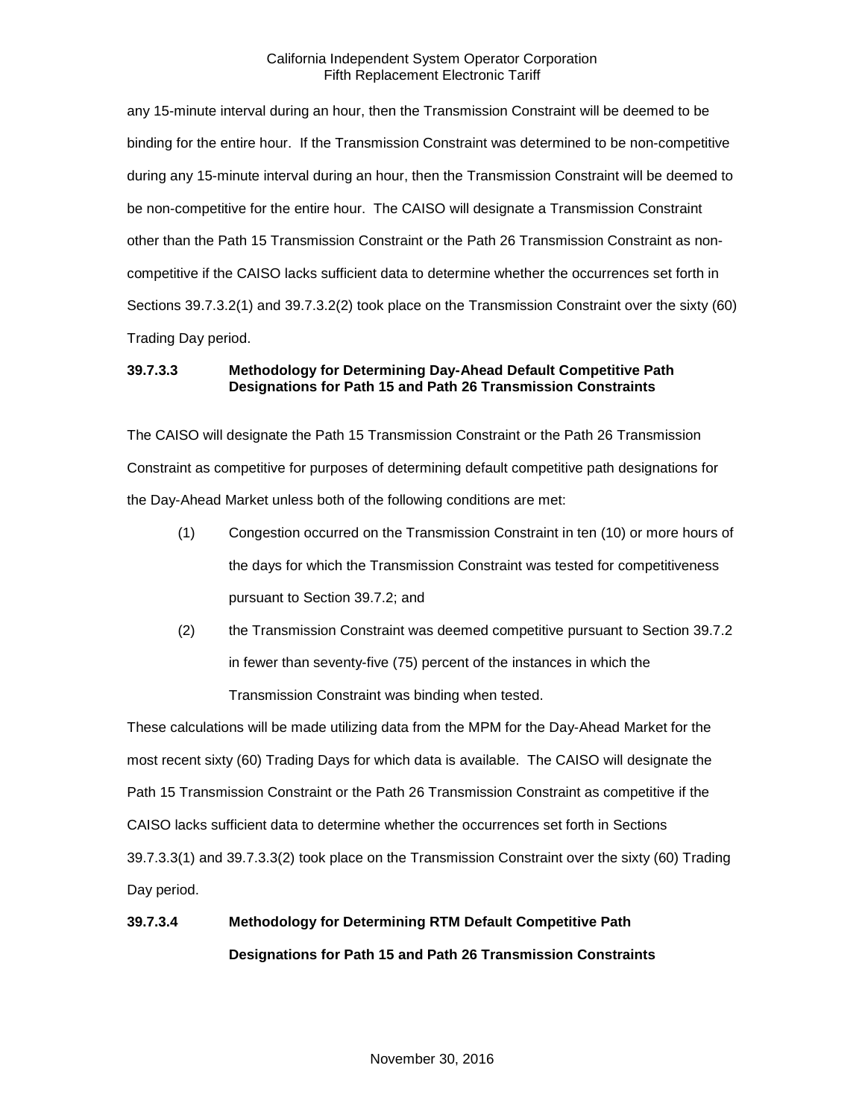any 15-minute interval during an hour, then the Transmission Constraint will be deemed to be binding for the entire hour. If the Transmission Constraint was determined to be non-competitive during any 15-minute interval during an hour, then the Transmission Constraint will be deemed to be non-competitive for the entire hour. The CAISO will designate a Transmission Constraint other than the Path 15 Transmission Constraint or the Path 26 Transmission Constraint as noncompetitive if the CAISO lacks sufficient data to determine whether the occurrences set forth in Sections 39.7.3.2(1) and 39.7.3.2(2) took place on the Transmission Constraint over the sixty (60) Trading Day period.

## **39.7.3.3 Methodology for Determining Day-Ahead Default Competitive Path Designations for Path 15 and Path 26 Transmission Constraints**

The CAISO will designate the Path 15 Transmission Constraint or the Path 26 Transmission Constraint as competitive for purposes of determining default competitive path designations for the Day-Ahead Market unless both of the following conditions are met:

- (1) Congestion occurred on the Transmission Constraint in ten (10) or more hours of the days for which the Transmission Constraint was tested for competitiveness pursuant to Section 39.7.2; and
- (2) the Transmission Constraint was deemed competitive pursuant to Section 39.7.2 in fewer than seventy-five (75) percent of the instances in which the Transmission Constraint was binding when tested.

These calculations will be made utilizing data from the MPM for the Day-Ahead Market for the most recent sixty (60) Trading Days for which data is available. The CAISO will designate the Path 15 Transmission Constraint or the Path 26 Transmission Constraint as competitive if the CAISO lacks sufficient data to determine whether the occurrences set forth in Sections 39.7.3.3(1) and 39.7.3.3(2) took place on the Transmission Constraint over the sixty (60) Trading Day period.

## **39.7.3.4 Methodology for Determining RTM Default Competitive Path Designations for Path 15 and Path 26 Transmission Constraints**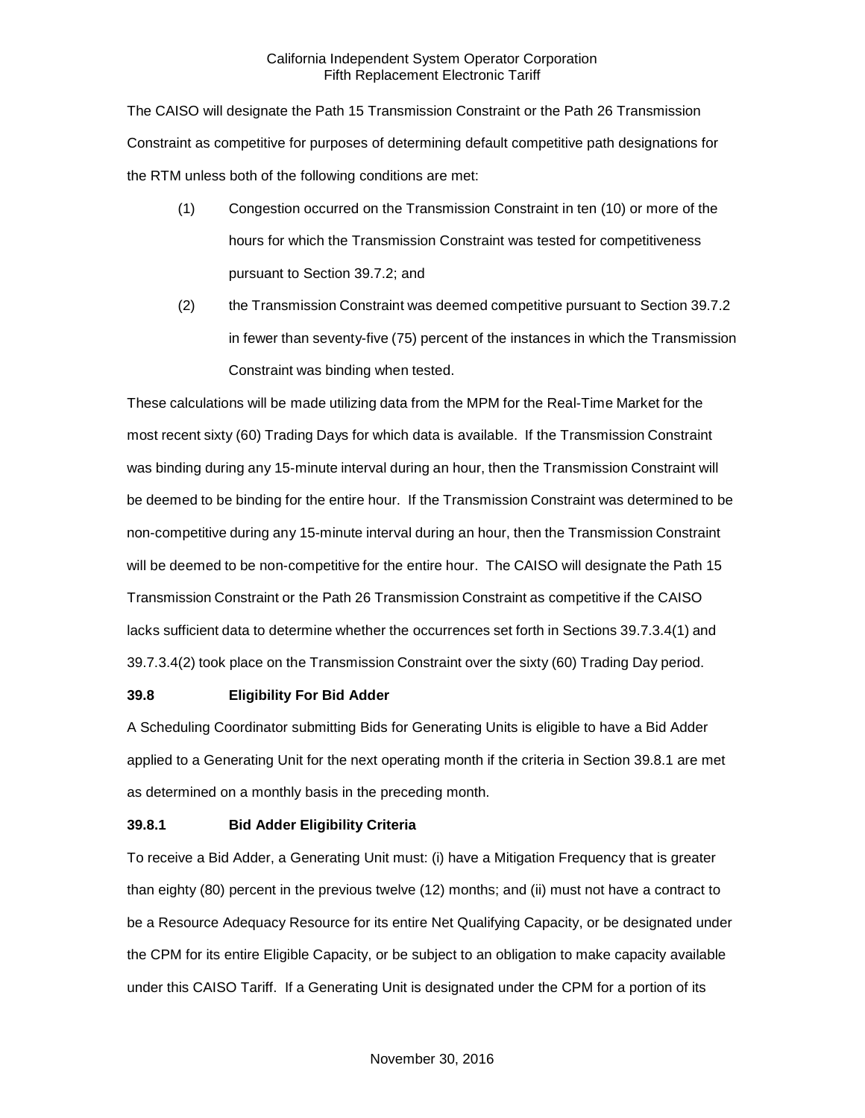The CAISO will designate the Path 15 Transmission Constraint or the Path 26 Transmission Constraint as competitive for purposes of determining default competitive path designations for the RTM unless both of the following conditions are met:

- (1) Congestion occurred on the Transmission Constraint in ten (10) or more of the hours for which the Transmission Constraint was tested for competitiveness pursuant to Section 39.7.2; and
- (2) the Transmission Constraint was deemed competitive pursuant to Section 39.7.2 in fewer than seventy-five (75) percent of the instances in which the Transmission Constraint was binding when tested.

These calculations will be made utilizing data from the MPM for the Real-Time Market for the most recent sixty (60) Trading Days for which data is available. If the Transmission Constraint was binding during any 15-minute interval during an hour, then the Transmission Constraint will be deemed to be binding for the entire hour. If the Transmission Constraint was determined to be non-competitive during any 15-minute interval during an hour, then the Transmission Constraint will be deemed to be non-competitive for the entire hour. The CAISO will designate the Path 15 Transmission Constraint or the Path 26 Transmission Constraint as competitive if the CAISO lacks sufficient data to determine whether the occurrences set forth in Sections 39.7.3.4(1) and 39.7.3.4(2) took place on the Transmission Constraint over the sixty (60) Trading Day period.

#### <span id="page-24-0"></span>**39.8 Eligibility For Bid Adder**

A Scheduling Coordinator submitting Bids for Generating Units is eligible to have a Bid Adder applied to a Generating Unit for the next operating month if the criteria in Section 39.8.1 are met as determined on a monthly basis in the preceding month.

#### <span id="page-24-1"></span>**39.8.1 Bid Adder Eligibility Criteria**

To receive a Bid Adder, a Generating Unit must: (i) have a Mitigation Frequency that is greater than eighty (80) percent in the previous twelve (12) months; and (ii) must not have a contract to be a Resource Adequacy Resource for its entire Net Qualifying Capacity, or be designated under the CPM for its entire Eligible Capacity, or be subject to an obligation to make capacity available under this CAISO Tariff. If a Generating Unit is designated under the CPM for a portion of its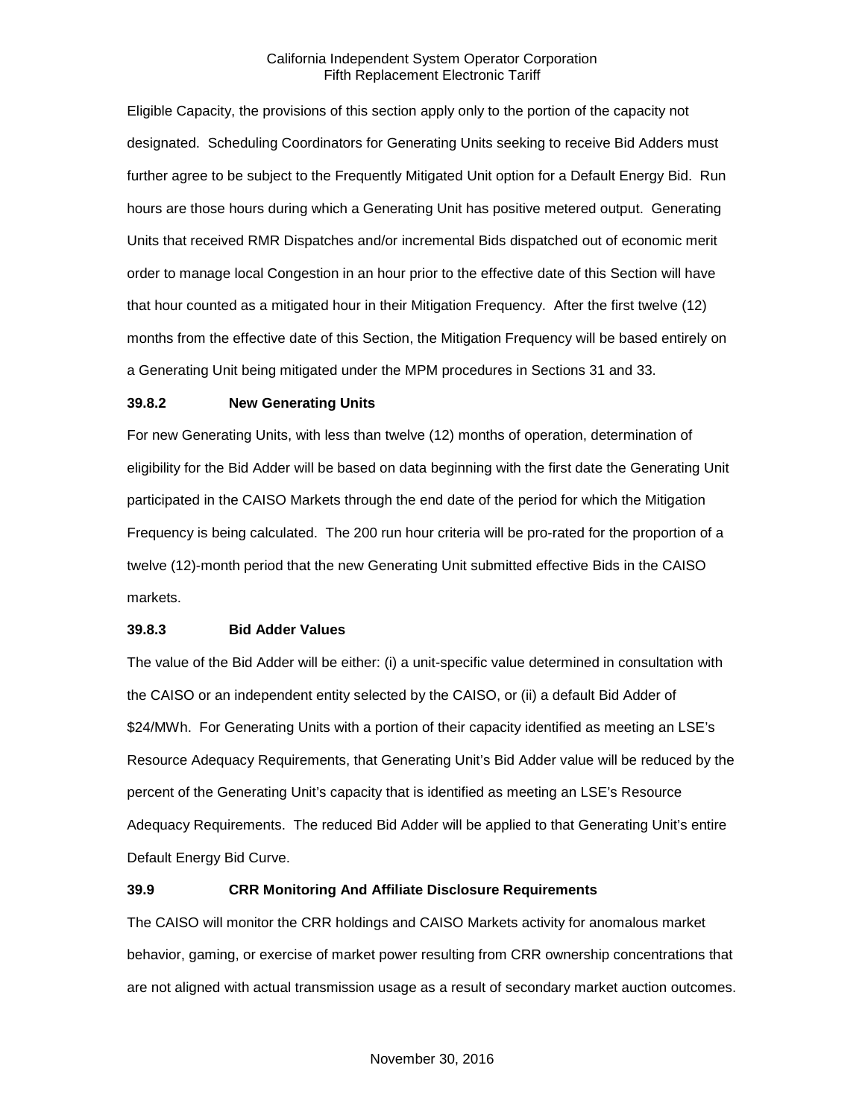Eligible Capacity, the provisions of this section apply only to the portion of the capacity not designated. Scheduling Coordinators for Generating Units seeking to receive Bid Adders must further agree to be subject to the Frequently Mitigated Unit option for a Default Energy Bid. Run hours are those hours during which a Generating Unit has positive metered output. Generating Units that received RMR Dispatches and/or incremental Bids dispatched out of economic merit order to manage local Congestion in an hour prior to the effective date of this Section will have that hour counted as a mitigated hour in their Mitigation Frequency. After the first twelve (12) months from the effective date of this Section, the Mitigation Frequency will be based entirely on a Generating Unit being mitigated under the MPM procedures in Sections 31 and 33.

#### <span id="page-25-0"></span>**39.8.2 New Generating Units**

For new Generating Units, with less than twelve (12) months of operation, determination of eligibility for the Bid Adder will be based on data beginning with the first date the Generating Unit participated in the CAISO Markets through the end date of the period for which the Mitigation Frequency is being calculated. The 200 run hour criteria will be pro-rated for the proportion of a twelve (12)-month period that the new Generating Unit submitted effective Bids in the CAISO markets.

#### <span id="page-25-1"></span>**39.8.3 Bid Adder Values**

The value of the Bid Adder will be either: (i) a unit-specific value determined in consultation with the CAISO or an independent entity selected by the CAISO, or (ii) a default Bid Adder of \$24/MWh. For Generating Units with a portion of their capacity identified as meeting an LSE's Resource Adequacy Requirements, that Generating Unit's Bid Adder value will be reduced by the percent of the Generating Unit's capacity that is identified as meeting an LSE's Resource Adequacy Requirements. The reduced Bid Adder will be applied to that Generating Unit's entire Default Energy Bid Curve.

#### <span id="page-25-2"></span>**39.9 CRR Monitoring And Affiliate Disclosure Requirements**

The CAISO will monitor the CRR holdings and CAISO Markets activity for anomalous market behavior, gaming, or exercise of market power resulting from CRR ownership concentrations that are not aligned with actual transmission usage as a result of secondary market auction outcomes.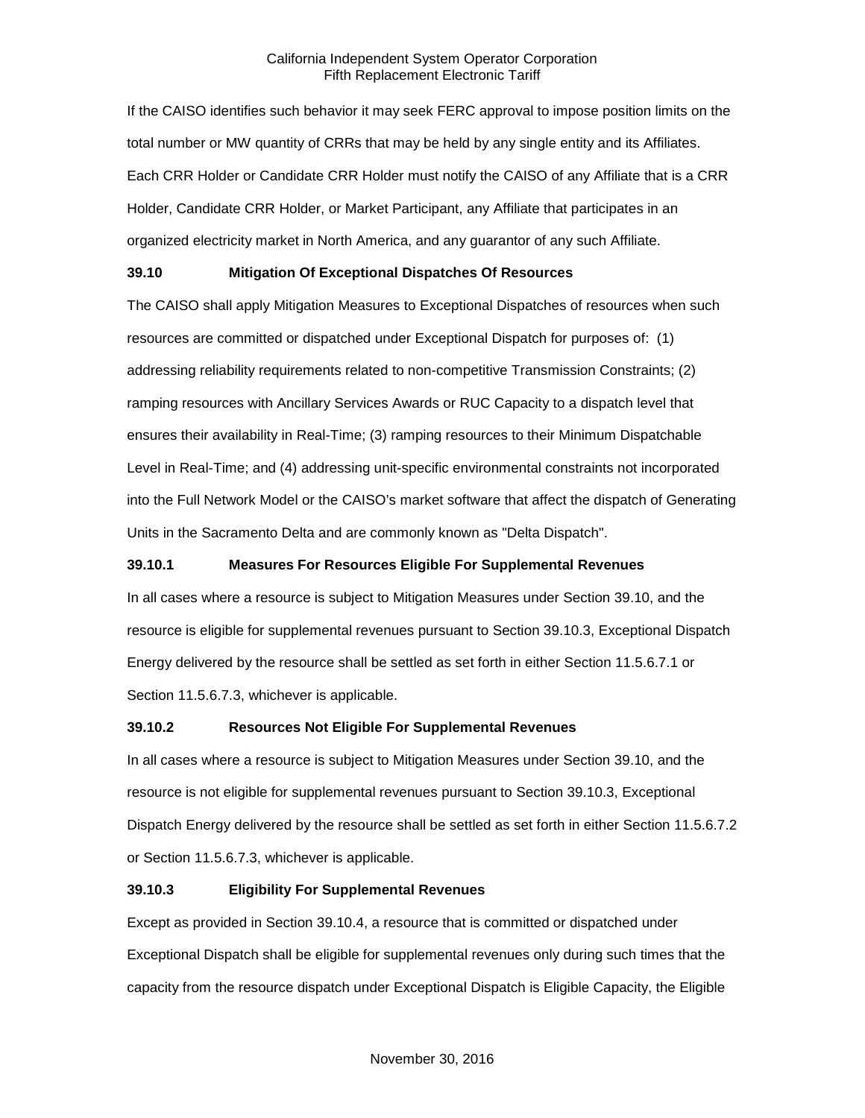If the CAISO identifies such behavior it may seek FERC approval to impose position limits on the total number or MW quantity of CRRs that may be held by any single entity and its Affiliates. Each CRR Holder or Candidate CRR Holder must notify the CAISO of any Affiliate that is a CRR Holder, Candidate CRR Holder, or Market Participant, any Affiliate that participates in an organized electricity market in North America, and any guarantor of any such Affiliate.

## <span id="page-26-0"></span>**39.10 Mitigation Of Exceptional Dispatches Of Resources**

The CAISO shall apply Mitigation Measures to Exceptional Dispatches of resources when such resources are committed or dispatched under Exceptional Dispatch for purposes of: (1) addressing reliability requirements related to non-competitive Transmission Constraints; (2) ramping resources with Ancillary Services Awards or RUC Capacity to a dispatch level that ensures their availability in Real-Time; (3) ramping resources to their Minimum Dispatchable Level in Real-Time; and (4) addressing unit-specific environmental constraints not incorporated into the Full Network Model or the CAISO's market software that affect the dispatch of Generating Units in the Sacramento Delta and are commonly known as "Delta Dispatch".

## <span id="page-26-1"></span>**39.10.1 Measures For Resources Eligible For Supplemental Revenues**

In all cases where a resource is subject to Mitigation Measures under Section 39.10, and the resource is eligible for supplemental revenues pursuant to Section 39.10.3, Exceptional Dispatch Energy delivered by the resource shall be settled as set forth in either Section 11.5.6.7.1 or Section 11.5.6.7.3, whichever is applicable.

#### <span id="page-26-2"></span>**39.10.2 Resources Not Eligible For Supplemental Revenues**

In all cases where a resource is subject to Mitigation Measures under Section 39.10, and the resource is not eligible for supplemental revenues pursuant to Section 39.10.3, Exceptional Dispatch Energy delivered by the resource shall be settled as set forth in either Section 11.5.6.7.2 or Section 11.5.6.7.3, whichever is applicable.

## <span id="page-26-3"></span>**39.10.3 Eligibility For Supplemental Revenues**

Except as provided in Section 39.10.4, a resource that is committed or dispatched under Exceptional Dispatch shall be eligible for supplemental revenues only during such times that the capacity from the resource dispatch under Exceptional Dispatch is Eligible Capacity, the Eligible